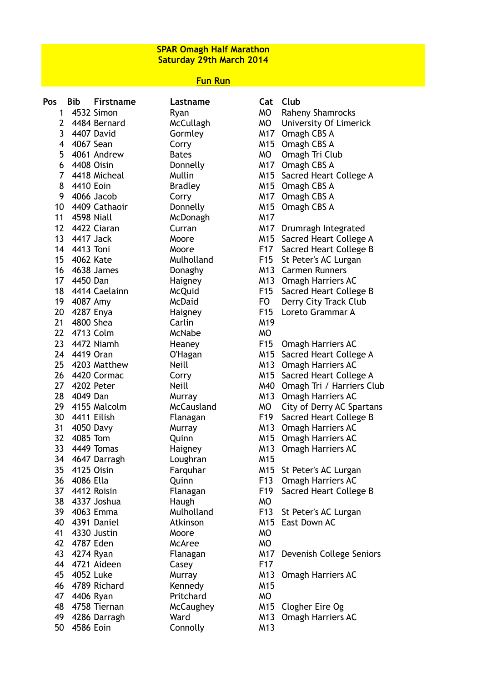## **SPAR Omagh Half Marathon Saturday 29th March 2014**

## **Fun Run**

| Pos             | <b>Bib</b><br><b>Firstname</b> | Lastname         |                 | Cat Club                   |
|-----------------|--------------------------------|------------------|-----------------|----------------------------|
| 1               | 4532 Simon                     | Ryan             | <b>MO</b>       | <b>Raheny Shamrocks</b>    |
| $\overline{2}$  | 4484 Bernard                   | McCullagh        | <b>MO</b>       | University Of Limerick     |
| 3               | 4407 David                     | Gormley          | M17             | Omagh CBS A                |
| 4               | 4067 Sean                      | Corry            |                 | M15 Omagh CBS A            |
| 5               | 4061 Andrew                    | <b>Bates</b>     | <b>MO</b>       | Omagh Tri Club             |
| 6               | 4408 Oisin                     | Donnelly         |                 | M17 Omagh CBS A            |
| $\overline{7}$  | 4418 Micheal                   | Mullin           |                 | M15 Sacred Heart College A |
| 8               | 4410 Eoin                      | <b>Bradley</b>   |                 | M15 Omagh CBS A            |
| 9               | 4066 Jacob                     | Corry            | M17             | Omagh CBS A                |
|                 | 10 4409 Cathaoir               | Donnelly         |                 | M15 Omagh CBS A            |
|                 | 11 4598 Niall                  | McDonagh         | M17             |                            |
|                 | 12 4422 Ciaran                 | Curran           |                 | M17 Drumragh Integrated    |
|                 | 13 4417 Jack                   | Moore            |                 | M15 Sacred Heart College A |
|                 | 14 4413 Toni                   | Moore            | F17             | Sacred Heart College B     |
|                 | 15 4062 Kate                   | Mulholland       | F <sub>15</sub> | St Peter's AC Lurgan       |
|                 | 16 4638 James                  | Donaghy          | M13             | <b>Carmen Runners</b>      |
|                 | 17 4450 Dan                    | Haigney          |                 | M13 Omagh Harriers AC      |
|                 | 18 4414 Caelainn               | <b>McQuid</b>    | F15             | Sacred Heart College B     |
|                 | 19 4087 Amy                    | <b>McDaid</b>    | <b>FO</b>       | Derry City Track Club      |
|                 | 20 4287 Enya                   | Haigney          | F <sub>15</sub> | Loreto Grammar A           |
|                 | 21 4800 Shea                   | Carlin           | M19             |                            |
|                 | 22 4713 Colm                   | McNabe           | <b>MO</b>       |                            |
|                 | 23 4472 Niamh                  | Heaney           | F15             | <b>Omagh Harriers AC</b>   |
|                 | 24 4419 Oran                   | O'Hagan          |                 | M15 Sacred Heart College A |
|                 | 25 4203 Matthew                | <b>Neill</b>     |                 | M13 Omagh Harriers AC      |
|                 | 26 4420 Cormac                 | Corry            | M15             | Sacred Heart College A     |
| 27 <sub>2</sub> | 4202 Peter                     | <b>Neill</b>     | M40             | Omagh Tri / Harriers Club  |
| 28              | 4049 Dan                       | Murray           | M13             | <b>Omagh Harriers AC</b>   |
| 29              | 4155 Malcolm                   | McCausland       | <b>MO</b>       | City of Derry AC Spartans  |
|                 | 30 4411 Eilish                 | Flanagan         | F19             | Sacred Heart College B     |
|                 | 31 4050 Davy                   | Murray           |                 | M13 Omagh Harriers AC      |
|                 | 32 4085 Tom                    | Quinn            |                 | M15 Omagh Harriers AC      |
| 33              | 4449 Tomas                     | Haigney          |                 | M13 Omagh Harriers AC      |
| 34              | 4647 Darragh                   | Loughran         | M15             |                            |
| 35 <sub>1</sub> | 4125 Oisin                     | Farquhar         | M15             | St Peter's AC Lurgan       |
|                 | 36 4086 Ella                   | Quinn            | F13             | <b>Omagh Harriers AC</b>   |
|                 | 37 4412 Roisin                 | Flanagan         | F19             | Sacred Heart College B     |
|                 | 38 4337 Joshua                 | Haugh            | MO              |                            |
|                 | 39 4063 Emma                   | Mulholland       | F13             | St Peter's AC Lurgan       |
|                 | 40 4391 Daniel                 | Atkinson         | M15             | East Down AC               |
| 41              | 4330 Justin                    | Moore            | <b>MO</b>       |                            |
|                 | 42 4787 Eden                   | <b>McAree</b>    | <b>MO</b>       |                            |
|                 | 43 4274 Ryan                   | Flanagan         | M17             | Devenish College Seniors   |
|                 | 44 4721 Aideen                 | Casey            | F17             |                            |
|                 | 45 4052 Luke                   | Murray           | M13             | <b>Omagh Harriers AC</b>   |
|                 | 46 4789 Richard                | Kennedy          | M15             |                            |
| 47              | 4406 Ryan                      | Pritchard        | <b>MO</b>       |                            |
| 48              | 4758 Tiernan                   | <b>McCaughey</b> |                 | M15 Clogher Eire Og        |
|                 | 49 4286 Darragh                | Ward             |                 | M13 Omagh Harriers AC      |
| 50              | 4586 Eoin                      | Connolly         | M13             |                            |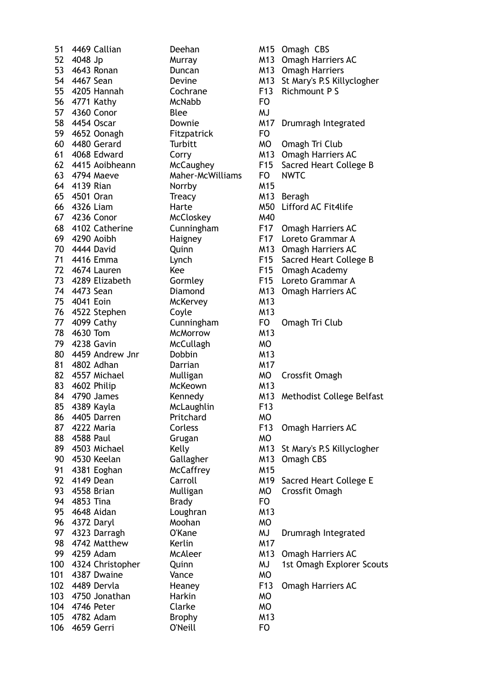53 4643 Ronan Duncan M13 Omagh Harriers 55 4205 Hannah Cochrane F13 Richmount P S 56 4771 Kathy McNabb FO 57 4360 Conor Blee MJ<br>58 4454 Oscar Downie M17 59 4652 Oonagh Fitzpatrick FO 60 4480 Gerard Turbitt MO Omagh Tri Club 63 4794 Maeve Maher-McWilliams FO NWTC 64 4139 Rian Norrby M15 65 4501 Oran Treacy M13 Beragh 67 4236 Conor McCloskey M40<br>68 4102 Catherine Cunningham F17 72 4674 Lauren Kee F15 Omagh Academy 75 4041 Eoin McKervey M13 76 4522 Stephen Coyle M13 77 4099 Cathy Cunningham FO Omagh Tri Club 78 4630 Tom McMorrow M13 79 4238 Gavin McCullagh MO 80 4459 Andrew Jnr Dobbin M13 81 4802 Adhan **Darrian** M17 82 4557 Michael Mulligan MO Crossfit Omagh 83 4602 Philip McKeown M13<br>84 4790 James Kennedy M13 85 4389 Kayla McLaughlin F13 86 4405 Darren Pritchard MO 88 4588 Paul Grugan MO 90 4530 Keelan Gallagher M13 Omagh CBS 91 4381 Eoghan McCaffrey M15 93 4558 Brian Mulligan MO Crossfit Omagh 94 4853 Tina Brady Brady FO 95 4648 Aidan Loughran M13 96 4372 Daryl Moohan MO 98 4742 Matthew Kerlin M17 101 4387 Dwaine Vance MO 103 4750 Jonathan Harkin MO 104 4746 Peter Clarke MO 105 4782 Adam Brophy M13 106 4659 Gerri O'Neill FO

51 4469 Callian **Deehan** Deehan M15 Omagh CBS 52 4048 Jp Murray Music M13 Omagh Harriers AC 54 4467 Sean **Devine** Devine M13 St Mary's P.S Killyclogher Downie M17 Drumragh Integrated 61 4068 Edward Corry M13 Omagh Harriers AC 62 4415 Aoibheann McCaughey F15 Sacred Heart College B 66 4326 Liam Harte M50 Lifford AC Fit4life Cunningham F17 Omagh Harriers AC 69 4290 Aoibh Haigney F17 Loreto Grammar A 70 4444 David **Quinn** Quinn M13 Omagh Harriers AC 71 4416 Emma Lynch F15 Sacred Heart College B 73 4289 Elizabeth Gormley F15 Loreto Grammar A 74 4473 Sean Diamond M13 Omagh Harriers AC Kennedy M13 Methodist College Belfast 87 4222 Maria Corless F13 Omagh Harriers AC 89 4503 Michael Kelly Kelly M13 St Mary's P.S Killyclogher 92 4149 Dean Carroll M19 Sacred Heart College E 97 4323 Darragh O'Kane MJ Drumragh Integrated 99 4259 Adam McAleer M13 Omagh Harriers AC 100 4324 Christopher Quinn MJ 1st Omagh Explorer Scouts 102 4489 Dervla **Heaney** F13 Omagh Harriers AC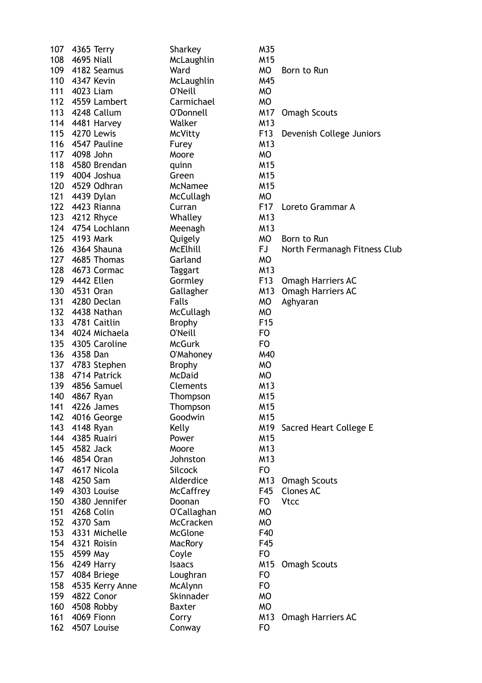| 107 | 4365 Terry        | Sharkey          | M35             |                              |
|-----|-------------------|------------------|-----------------|------------------------------|
| 108 | 4695 Niall        | McLaughlin       | M15             |                              |
|     | 109 4182 Seamus   | Ward             | <b>MO</b>       | Born to Run                  |
|     | 110 4347 Kevin    | McLaughlin       | M45             |                              |
| 111 | 4023 Liam         | O'Neill          | <b>MO</b>       |                              |
|     | 112 4559 Lambert  | Carmichael       | <b>MO</b>       |                              |
|     | 113 4248 Callum   | O'Donnell        | M17             | <b>Omagh Scouts</b>          |
|     | 114 4481 Harvey   | Walker           | M <sub>13</sub> |                              |
|     | 115 4270 Lewis    | McVitty          | F13             | Devenish College Juniors     |
|     | 116 4547 Pauline  | Furey            | M13             |                              |
| 117 | 4098 John         | Moore            | <b>MO</b>       |                              |
|     | 118 4580 Brendan  | quinn            | M <sub>15</sub> |                              |
|     | 119 4004 Joshua   | Green            | M15             |                              |
|     | 120 4529 Odhran   | <b>McNamee</b>   | M <sub>15</sub> |                              |
|     | 121 4439 Dylan    |                  | <b>MO</b>       |                              |
|     |                   | McCullagh        |                 |                              |
|     | 122 4423 Rianna   | Curran           | F <sub>17</sub> | Loreto Grammar A             |
|     | 123 4212 Rhyce    | Whalley          | M <sub>13</sub> |                              |
|     | 124 4754 Lochlann | Meenagh          | M13             |                              |
|     | 125 4193 Mark     | Quigely          | <b>MO</b>       | Born to Run                  |
|     | 126 4364 Shauna   | McElhill         | FJ              | North Fermanagh Fitness Club |
|     | 127 4685 Thomas   | Garland          | <b>MO</b>       |                              |
|     | 128 4673 Cormac   | <b>Taggart</b>   | M13             |                              |
|     | 129 4442 Ellen    | Gormley          | F13             | <b>Omagh Harriers AC</b>     |
|     | 130 4531 Oran     | Gallagher        | M13             | Omagh Harriers AC            |
|     | 131 4280 Declan   | Falls            | <b>MO</b>       | Aghyaran                     |
|     | 132 4438 Nathan   | McCullagh        | <b>MO</b>       |                              |
|     | 133 4781 Caitlin  | <b>Brophy</b>    | F <sub>15</sub> |                              |
|     | 134 4024 Michaela | O'Neill          | F <sub>O</sub>  |                              |
|     | 135 4305 Caroline | <b>McGurk</b>    | F <sub>O</sub>  |                              |
|     | 136 4358 Dan      | O'Mahoney        | M40             |                              |
|     | 137 4783 Stephen  | <b>Brophy</b>    | <b>MO</b>       |                              |
|     | 138 4714 Patrick  | McDaid           | <b>MO</b>       |                              |
| 139 | 4856 Samuel       | <b>Clements</b>  | M13             |                              |
| 140 | 4867 Ryan         | Thompson         | M15             |                              |
| 141 | 4226 James        | Thompson         | M15             |                              |
| 142 | 4016 George       | Goodwin          | M15             |                              |
| 143 | 4148 Ryan         | Kelly            | M19             | Sacred Heart College E       |
| 144 | 4385 Ruairi       | Power            | M <sub>15</sub> |                              |
| 145 | 4582 Jack         | Moore            | M13             |                              |
|     | 146 4854 Oran     | Johnston         | M13             |                              |
| 147 | 4617 Nicola       | Silcock          | F <sub>O</sub>  |                              |
| 148 | 4250 Sam          | Alderdice        | M13             | <b>Omagh Scouts</b>          |
| 149 | 4303 Louise       | <b>McCaffrey</b> | F45             | <b>Clones AC</b>             |
| 150 | 4380 Jennifer     | Doonan           | <b>FO</b>       | <b>Vtcc</b>                  |
| 151 | 4268 Colin        | O'Callaghan      | <b>MO</b>       |                              |
| 152 | 4370 Sam          | <b>McCracken</b> | <b>MO</b>       |                              |
| 153 | 4331 Michelle     | <b>McGlone</b>   | F40             |                              |
|     | 154 4321 Roisin   | MacRory          | F45             |                              |
| 155 | 4599 May          | Coyle            | F <sub>O</sub>  |                              |
|     | 156 4249 Harry    | <b>Isaacs</b>    | M15             |                              |
|     |                   |                  |                 | <b>Omagh Scouts</b>          |
| 157 | 4084 Briege       | Loughran         | F <sub>O</sub>  |                              |
| 158 | 4535 Kerry Anne   | McAlynn          | <b>FO</b>       |                              |
| 159 | 4822 Conor        | Skinnader        | <b>MO</b>       |                              |
| 160 | 4508 Robby        | <b>Baxter</b>    | <b>MO</b>       |                              |
| 161 | 4069 Fionn        | Corry            | M13             | <b>Omagh Harriers AC</b>     |
| 162 | 4507 Louise       | Conway           | <b>FO</b>       |                              |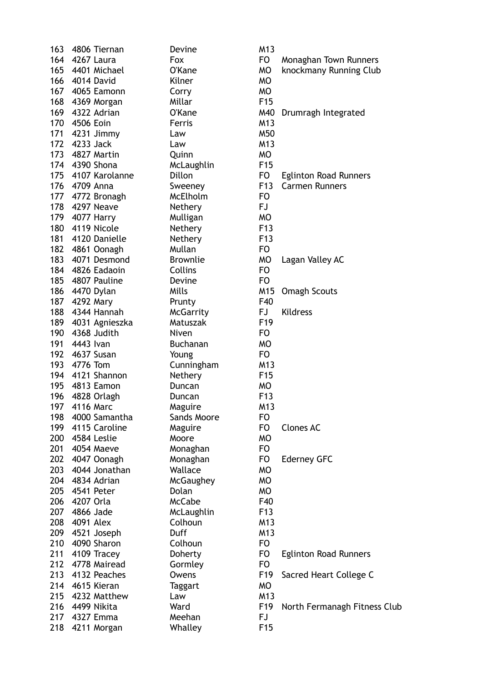|     | 163 4806 Tiernan   | Devine                 | M13             |
|-----|--------------------|------------------------|-----------------|
|     | 164 4267 Laura     | Fox                    | FO              |
|     | 165 4401 Michael   | O'Kane                 | МO              |
|     | 166 4014 David     | Kilner                 | МO              |
|     | 167 4065 Eamonn    | Corry                  | МO              |
|     | 168 4369 Morgan    | Millar                 | F <sub>15</sub> |
|     | 169 4322 Adrian    | O'Kane                 | M40             |
|     | 170 4506 Eoin      | Ferris                 | M13             |
|     | 171 4231 Jimmy     | Law                    | M50             |
|     | 172 4233 Jack      | Law                    | M13             |
|     | 173 4827 Martin    | Quinn                  | МO              |
|     | 174 4390 Shona     | McLaughlin             | F <sub>15</sub> |
|     | 175 4107 Karolanne | Dillon                 | FO              |
|     | 176 4709 Anna      | Sweeney                | F13             |
|     | 177 4772 Bronagh   | McElholm               | FO              |
|     | 178 4297 Neave     | Nethery                | FJ              |
|     | 179 4077 Harry     | Mulligan               | МO              |
|     | 180 4119 Nicole    | Nethery                | F <sub>13</sub> |
|     | 181 4120 Danielle  | <b>Nethery</b>         | F13             |
|     | 182 4861 Oonagh    | Mullan                 | FO              |
|     | 183 4071 Desmond   | <b>Brownlie</b>        | МO              |
|     | 184 4826 Eadaoin   | Collins                | FO              |
|     | 185 4807 Pauline   | Devine                 | FO              |
|     | 186 4470 Dylan     | Mills                  | M15             |
|     | 187 4292 Mary      | Prunty                 | F40             |
|     | 188 4344 Hannah    | <b>McGarrity</b>       | FJ              |
|     | 189 4031 Agnieszka | Matuszak               | F <sub>19</sub> |
|     | 190 4368 Judith    | Niven                  | FO.             |
|     | 191 4443 Ivan      | Buchanan               | МO              |
|     | 192 4637 Susan     | Young                  | FO              |
|     | 193 4776 Tom       | Cunningham             | M13             |
|     | 194 4121 Shannon   | Nethery                | F <sub>15</sub> |
|     | 195 4813 Eamon     | Duncan                 | МO              |
|     | 196 4828 Orlagh    | Duncan                 | F <sub>13</sub> |
|     | 197 4116 Marc      |                        | M13             |
|     | 198 4000 Samantha  | Maguire<br>Sands Moore | FO              |
|     | 199 4115 Caroline  |                        |                 |
|     | 200 4584 Leslie    | Maguire                | FO<br>МO        |
|     |                    | Moore                  |                 |
|     | 201 4054 Maeve     | Monaghan               | FO.             |
|     | 202 4047 Oonagh    | Monaghan               | FO              |
|     | 203 4044 Jonathan  | Wallace                | МO              |
|     | 204 4834 Adrian    | McGaughey              | МO              |
|     | 205 4541 Peter     | Dolan                  | <b>MO</b>       |
|     | 206 4207 Orla      | <b>McCabe</b>          | F40             |
|     | 207 4866 Jade      | McLaughlin             | F <sub>13</sub> |
|     | 208 4091 Alex      | Colhoun                | M13             |
|     | 209 4521 Joseph    | Duff                   | M13             |
|     | 210 4090 Sharon    | Colhoun                | FO              |
| 211 | 4109 Tracey        | Doherty                | FO              |
| 212 | 4778 Mairead       | Gormley                | FO              |
|     | 213 4132 Peaches   | Owens                  | F19             |
|     | 214 4615 Kieran    | Taggart                | МO              |
|     | 215 4232 Matthew   | Law                    | M13             |
|     | 216 4499 Nikita    | Ward                   | F <sub>19</sub> |
|     | 217 4327 Emma      | Meehan                 | FJ              |
| 218 | 4211 Morgan        | Whalley                | F15             |

Fox **FO** Monaghan Town Runners 0'Kane MO knockmany Running Club 0'Kane M40 Drumragh Integrated Dillon FO Eglinton Road Runners Sweeney F13 Carmen Runners Brownlie MO Lagan Valley AC Mills M15 Omagh Scouts McGarrity FJ Kildress Maguire **FO** Clones AC Monaghan FO Ederney GFC Doherty FO Eglinton Road Runners Owens F19 Sacred Heart College C Ward F19 North Fermanagh Fitness Club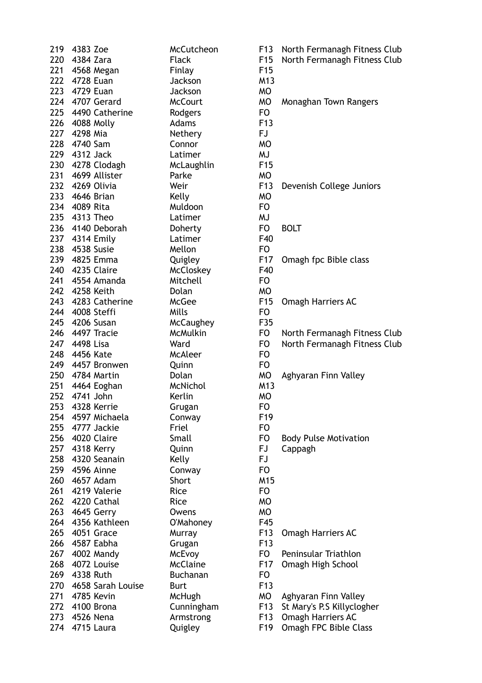|     | 219 4383 Zoe       | McCutcheon       | F <sub>1</sub> 3 | North Fermanagh Fitness Club |
|-----|--------------------|------------------|------------------|------------------------------|
|     | 220 4384 Zara      | <b>Flack</b>     | F <sub>15</sub>  | North Fermanagh Fitness Club |
|     | 221 4568 Megan     | Finlay           | F <sub>15</sub>  |                              |
|     | 222 4728 Euan      | Jackson          | M13              |                              |
|     | 223 4729 Euan      | Jackson          | <b>MO</b>        |                              |
|     | 224 4707 Gerard    | <b>McCourt</b>   | <b>MO</b>        | Monaghan Town Rangers        |
|     |                    |                  |                  |                              |
|     | 225 4490 Catherine | Rodgers          | F <sub>O</sub>   |                              |
|     | 226 4088 Molly     | Adams            | F <sub>13</sub>  |                              |
|     | 227 4298 Mia       | Nethery          | FJ               |                              |
|     | 228 4740 Sam       | Connor           | <b>MO</b>        |                              |
|     | 229 4312 Jack      | Latimer          | <b>MJ</b>        |                              |
|     | 230 4278 Clodagh   | McLaughlin       | F <sub>15</sub>  |                              |
|     | 231 4699 Allister  | Parke            | <b>MO</b>        |                              |
|     | 232 4269 Olivia    | Weir             | F <sub>13</sub>  | Devenish College Juniors     |
|     | 233 4646 Brian     | Kelly            | <b>MO</b>        |                              |
|     | 234 4089 Rita      | Muldoon          | F <sub>O</sub>   |                              |
|     | 235 4313 Theo      | Latimer          | MJ               |                              |
|     | 236 4140 Deborah   |                  |                  |                              |
|     |                    | Doherty          | FO               | <b>BOLT</b>                  |
|     | 237 4314 Emily     | Latimer          | F40              |                              |
|     | 238 4538 Susie     | Mellon           | F <sub>O</sub>   |                              |
|     | 239 4825 Emma      | Quigley          | F17              | Omagh fpc Bible class        |
|     | 240 4235 Claire    | McCloskey        | F40              |                              |
|     | 241 4554 Amanda    | Mitchell         | F <sub>O</sub>   |                              |
|     | 242 4258 Keith     | Dolan            | <b>MO</b>        |                              |
|     | 243 4283 Catherine | McGee            | F <sub>15</sub>  | <b>Omagh Harriers AC</b>     |
|     | 244 4008 Steffi    | Mills            | F <sub>O</sub>   |                              |
|     | 245 4206 Susan     | <b>McCaughey</b> | F35              |                              |
|     | 246 4497 Tracie    | McMulkin         | FO               | North Fermanagh Fitness Club |
|     | 247 4498 Lisa      | Ward             | F <sub>O</sub>   | North Fermanagh Fitness Club |
| 248 | 4456 Kate          | <b>McAleer</b>   | F <sub>O</sub>   |                              |
|     |                    |                  |                  |                              |
|     | 249 4457 Bronwen   | Quinn            | F <sub>O</sub>   |                              |
|     | 250 4784 Martin    | Dolan            | MO               | Aghyaran Finn Valley         |
|     | 251 4464 Eoghan    | McNichol         | M13              |                              |
| 252 | 4741 John          | Kerlin           | <b>MO</b>        |                              |
| 253 | 4328 Kerrie        | Grugan           | F <sub>O</sub>   |                              |
| 254 | 4597 Michaela      | Conway           | F <sub>19</sub>  |                              |
| 255 | 4777 Jackie        | Friel            | F <sub>O</sub>   |                              |
| 256 | 4020 Claire        | Small            | F <sub>O</sub>   | <b>Body Pulse Motivation</b> |
| 257 | 4318 Kerry         | Quinn            | <b>FJ</b>        | Cappagh                      |
| 258 | 4320 Seanain       | Kelly            | FJ               |                              |
| 259 | 4596 Ainne         | Conway           | F <sub>O</sub>   |                              |
| 260 | 4657 Adam          | Short            | M15              |                              |
| 261 | 4219 Valerie       | Rice             | F <sub>O</sub>   |                              |
|     | 4220 Cathal        |                  |                  |                              |
| 262 |                    | Rice             | <b>MO</b>        |                              |
| 263 | 4645 Gerry         | Owens            | <b>MO</b>        |                              |
| 264 | 4356 Kathleen      | O'Mahoney        | F45              |                              |
| 265 | 4051 Grace         | Murray           | F <sub>13</sub>  | Omagh Harriers AC            |
| 266 | 4587 Eabha         | Grugan           | F <sub>13</sub>  |                              |
| 267 | 4002 Mandy         | McEvoy           | FO               | Peninsular Triathlon         |
| 268 | 4072 Louise        | <b>McClaine</b>  | F17              | Omagh High School            |
| 269 | 4338 Ruth          | Buchanan         | F <sub>O</sub>   |                              |
| 270 | 4658 Sarah Louise  | <b>Burt</b>      | F <sub>13</sub>  |                              |
| 271 | 4785 Kevin         | McHugh           | MO               | Aghyaran Finn Valley         |
| 272 | 4100 Brona         | Cunningham       | F <sub>13</sub>  | St Mary's P.S Killyclogher   |
| 273 | 4526 Nena          | Armstrong        | F <sub>13</sub>  | Omagh Harriers AC            |
| 274 | 4715 Laura         | Quigley          | F <sub>19</sub>  | Omagh FPC Bible Class        |
|     |                    |                  |                  |                              |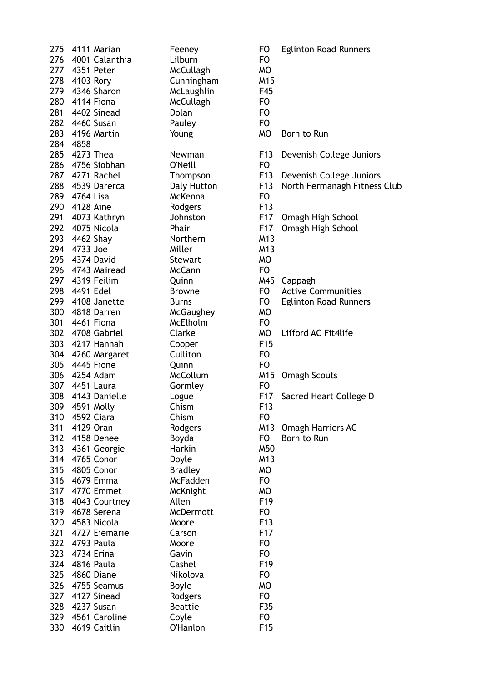|     | 275 4111 Marian    | Feeney                            | <b>FO</b>              | <b>Eglinton Road Runners</b> |
|-----|--------------------|-----------------------------------|------------------------|------------------------------|
|     | 276 4001 Calanthia | Lilburn                           | <b>FO</b>              |                              |
|     | 277 4351 Peter     | McCullagh                         | <b>MO</b>              |                              |
|     | 278 4103 Rory      | Cunningham                        | M15                    |                              |
| 279 | 4346 Sharon        | McLaughlin                        | F45                    |                              |
|     | 280 4114 Fiona     | <b>McCullagh</b>                  | F <sub>O</sub>         |                              |
|     | 281 4402 Sinead    | Dolan                             | <b>FO</b>              |                              |
|     | 282 4460 Susan     | Pauley                            | <b>FO</b>              |                              |
|     | 283 4196 Martin    | Young                             | <b>MO</b>              | Born to Run                  |
|     | 284 4858           |                                   |                        |                              |
| 285 | 4273 Thea          | Newman                            | F13                    | Devenish College Juniors     |
|     | 286 4756 Siobhan   | O'Neill                           | F <sub>O</sub>         |                              |
|     | 287 4271 Rachel    | Thompson                          | F13                    | Devenish College Juniors     |
|     | 288 4539 Darerca   | Daly Hutton                       | F13                    | North Fermanagh Fitness Club |
|     | 289 4764 Lisa      | McKenna                           | F <sub>O</sub>         |                              |
|     | 290 4128 Aine      | Rodgers                           | F <sub>13</sub>        |                              |
| 291 | 4073 Kathryn       | Johnston                          | F17                    | Omagh High School            |
|     | 292 4075 Nicola    | Phair                             | F <sub>17</sub>        | Omagh High School            |
|     | 293 4462 Shay      | Northern                          | M13                    |                              |
|     | 294 4733 Joe       | Miller                            | M13                    |                              |
|     | 295 4374 David     | <b>Stewart</b>                    | <b>MO</b>              |                              |
|     | 296 4743 Mairead   | <b>McCann</b>                     | <b>FO</b>              |                              |
| 297 | 4319 Feilim        | Quinn                             | M45                    | Cappagh                      |
| 298 | 4491 Edel          | <b>Browne</b>                     | FO                     | <b>Active Communities</b>    |
|     | 299 4108 Janette   | <b>Burns</b>                      | FO                     | <b>Eglinton Road Runners</b> |
|     | 300 4818 Darren    | McGaughey                         | <b>MO</b>              |                              |
|     | 301 4461 Fiona     | McElholm                          | <b>FO</b>              |                              |
|     | 302 4708 Gabriel   | Clarke                            | MO                     | Lifford AC Fit4life          |
|     | 303 4217 Hannah    | Cooper                            | F <sub>15</sub>        |                              |
|     | 304 4260 Margaret  | Culliton                          | <b>FO</b>              |                              |
|     | 305 4445 Fione     | Quinn                             | F <sub>O</sub>         |                              |
|     | 306 4254 Adam      | <b>McCollum</b>                   | M15                    | <b>Omagh Scouts</b>          |
|     | 307 4451 Laura     | Gormley                           | <b>FO</b>              |                              |
|     | 308 4143 Danielle  | Logue                             | F17                    | Sacred Heart College D       |
| 309 | 4591 Molly         | Chism                             | F <sub>13</sub>        |                              |
| 310 | 4592 Ciara         | Chism                             | <b>FO</b>              |                              |
| 311 | 4129 Oran          |                                   | M13                    | <b>Omagh Harriers AC</b>     |
|     | 312 4158 Denee     | Rodgers<br>Boyda                  | FO                     | Born to Run                  |
|     | 313 4361 Georgie   | Harkin                            | M50                    |                              |
|     |                    |                                   |                        |                              |
| 314 | 4765 Conor         | Doyle                             | M13                    |                              |
| 315 | 4805 Conor         | <b>Bradley</b><br><b>McFadden</b> | <b>MO</b><br><b>FO</b> |                              |
| 316 | 4679 Emma          |                                   |                        |                              |
| 317 | 4770 Emmet         | McKnight                          | <b>MO</b>              |                              |
| 318 | 4043 Courtney      | Allen                             | F <sub>19</sub>        |                              |
| 319 | 4678 Serena        | McDermott                         | <b>FO</b>              |                              |
| 320 | 4583 Nicola        | Moore                             | F <sub>13</sub>        |                              |
| 321 | 4727 Eiemarie      | Carson                            | F <sub>17</sub>        |                              |
| 322 | 4793 Paula         | Moore                             | <b>FO</b>              |                              |
| 323 | 4734 Erina         | Gavin                             | <b>FO</b>              |                              |
| 324 | 4816 Paula         | Cashel                            | F <sub>19</sub>        |                              |
| 325 | 4860 Diane         | Nikolova                          | <b>FO</b>              |                              |
| 326 | 4755 Seamus        | <b>Boyle</b>                      | <b>MO</b>              |                              |
| 327 | 4127 Sinead        | Rodgers                           | <b>FO</b>              |                              |
| 328 | 4237 Susan         | <b>Beattie</b>                    | F35                    |                              |
| 329 | 4561 Caroline      | Coyle                             | FO                     |                              |
| 330 | 4619 Caitlin       | <b>O'Hanlon</b>                   | F <sub>15</sub>        |                              |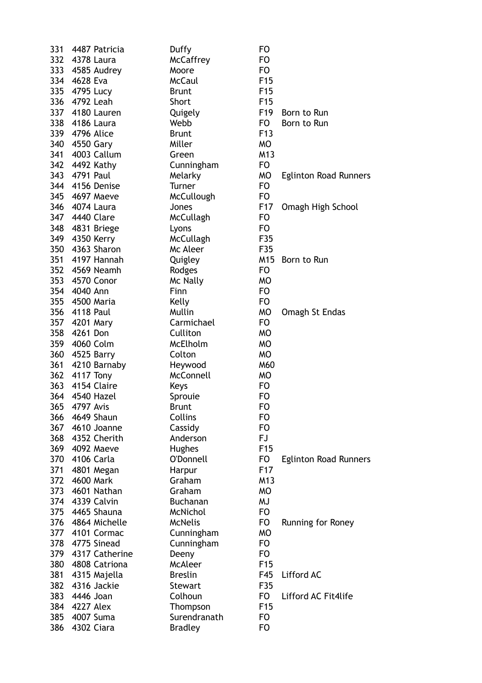| 331        | 4487 Patricia               | Duffy                            | <b>FO</b>       |                              |
|------------|-----------------------------|----------------------------------|-----------------|------------------------------|
|            | 332 4378 Laura              | <b>McCaffrey</b>                 | F <sub>O</sub>  |                              |
|            | 333 4585 Audrey             | Moore                            | F <sub>O</sub>  |                              |
|            | 334 4628 Eva                | <b>McCaul</b>                    | F <sub>15</sub> |                              |
| 335        | 4795 Lucy                   | <b>Brunt</b>                     | F <sub>15</sub> |                              |
|            | 336 4792 Leah               | Short                            | F <sub>15</sub> |                              |
|            | 337 4180 Lauren             | Quigely                          | F <sub>19</sub> | Born to Run                  |
|            | 338 4186 Laura              | Webb                             | FO              | Born to Run                  |
|            | 339 4796 Alice              | <b>Brunt</b>                     | F <sub>13</sub> |                              |
|            | 340 4550 Gary               | Miller                           | <b>MO</b>       |                              |
| 341        | 4003 Callum                 | Green                            | M13             |                              |
|            | 342 4492 Kathy              | Cunningham                       | F <sub>O</sub>  |                              |
|            | 343 4791 Paul               | Melarky                          | <b>MO</b>       | <b>Eglinton Road Runners</b> |
|            | 344 4156 Denise             | Turner                           | F <sub>O</sub>  |                              |
|            | 345 4697 Maeve              | McCullough                       | F <sub>O</sub>  |                              |
|            | 346 4074 Laura              | Jones                            | F <sub>17</sub> | Omagh High School            |
|            | 347 4440 Clare              | McCullagh                        | F <sub>O</sub>  |                              |
|            | 348 4831 Briege             | Lyons                            | F <sub>O</sub>  |                              |
|            | 349 4350 Kerry              | McCullagh                        | F35             |                              |
|            | 350 4363 Sharon             | Mc Aleer                         | F35             |                              |
|            | 351 4197 Hannah             | Quigley                          | M <sub>15</sub> | Born to Run                  |
|            | 352 4569 Neamh              | Rodges                           | F <sub>O</sub>  |                              |
|            | 353 4570 Conor              | Mc Nally                         | <b>MO</b>       |                              |
|            | 354 4040 Ann                | Finn                             | F <sub>O</sub>  |                              |
|            | 355 4500 Maria              | Kelly                            | F <sub>O</sub>  |                              |
|            | 356 4118 Paul               | Mullin                           | <b>MO</b>       | Omagh St Endas               |
|            | 357 4201 Mary               | Carmichael                       | F <sub>O</sub>  |                              |
| 358        | 4261 Don                    | Culliton                         | <b>MO</b>       |                              |
|            | 359 4060 Colm               | McElholm                         | <b>MO</b>       |                              |
|            | 360 4525 Barry              | Colton                           | <b>MO</b>       |                              |
| 361        | 4210 Barnaby                | Heywood                          | M60             |                              |
|            | 362 4117 Tony               | McConnell                        | <b>MO</b>       |                              |
|            | 363 4154 Claire             | Keys                             | F <sub>O</sub>  |                              |
|            | 364 4540 Hazel              | Sprouie                          | F <sub>O</sub>  |                              |
| 365        | 4797 Avis                   | <b>Brunt</b>                     | FO              |                              |
| 366        | 4649 Shaun                  | Collins                          | <b>FO</b>       |                              |
|            | 367 4610 Joanne             | Cassidy                          | F <sub>O</sub>  |                              |
|            | 368 4352 Cherith            | Anderson                         | <b>FJ</b>       |                              |
|            | 369 4092 Maeve              |                                  | F <sub>15</sub> |                              |
|            | 370 4106 Carla              | Hughes<br>O'Donnell              | F <sub>O</sub>  | <b>Eglinton Road Runners</b> |
| 371        | 4801 Megan                  |                                  | F <sub>17</sub> |                              |
| 372        | 4600 Mark                   | Harpur<br>Graham                 | M13             |                              |
| 373        | 4601 Nathan                 | Graham                           | <b>MO</b>       |                              |
|            | 374 4339 Calvin             | <b>Buchanan</b>                  | <b>MJ</b>       |                              |
|            | 375 4465 Shauna             | McNichol                         | F <sub>O</sub>  |                              |
|            | 376 4864 Michelle           | <b>McNelis</b>                   | F <sub>O</sub>  |                              |
| 377        | 4101 Cormac                 |                                  | <b>MO</b>       | Running for Roney            |
| 378        | 4775 Sinead                 | Cunningham                       | F <sub>O</sub>  |                              |
|            | 379 4317 Catherine          | Cunningham<br>Deeny              | F <sub>O</sub>  |                              |
| 380        | 4808 Catriona               | <b>McAleer</b>                   | F <sub>15</sub> |                              |
|            |                             |                                  |                 |                              |
| 381<br>382 | 4315 Majella<br>4316 Jackie | <b>Breslin</b><br><b>Stewart</b> | F45<br>F35      | Lifford AC                   |
| 383        | 4446 Joan                   | Colhoun                          | F <sub>O</sub>  | Lifford AC Fit4life          |
| 384        | <b>4227 Alex</b>            | Thompson                         | F <sub>15</sub> |                              |
| 385        | 4007 Suma                   | Surendranath                     | F <sub>O</sub>  |                              |
| 386        | 4302 Ciara                  | <b>Bradley</b>                   | F <sub>O</sub>  |                              |
|            |                             |                                  |                 |                              |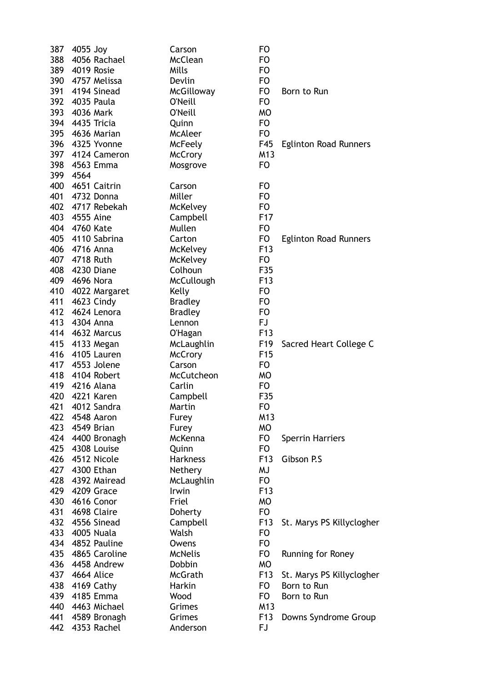| 387 | 4055 Joy          | Carson            | FO              |                              |
|-----|-------------------|-------------------|-----------------|------------------------------|
| 388 | 4056 Rachael      | <b>McClean</b>    | F <sub>O</sub>  |                              |
| 389 | 4019 Rosie        | Mills             | F <sub>O</sub>  |                              |
| 390 | 4757 Melissa      | Devlin            | F <sub>O</sub>  |                              |
| 391 | 4194 Sinead       | McGilloway        | F <sub>O</sub>  | Born to Run                  |
| 392 | 4035 Paula        | O'Neill           | F <sub>O</sub>  |                              |
|     | 393 4036 Mark     | <b>O'Neill</b>    | <b>MO</b>       |                              |
|     | 394 4435 Tricia   | Quinn             | F <sub>O</sub>  |                              |
| 395 | 4636 Marian       | <b>McAleer</b>    | F <sub>O</sub>  |                              |
| 396 | 4325 Yvonne       | McFeely           | F45             | <b>Eglinton Road Runners</b> |
| 397 | 4124 Cameron      | <b>McCrory</b>    | M <sub>13</sub> |                              |
| 398 | 4563 Emma         | Mosgrove          | F <sub>O</sub>  |                              |
| 399 | 4564              |                   |                 |                              |
| 400 | 4651 Caitrin      | Carson            | FO.             |                              |
| 401 | 4732 Donna        | Miller            | F <sub>O</sub>  |                              |
| 402 | 4717 Rebekah      | McKelvey          | F <sub>O</sub>  |                              |
| 403 | 4555 Aine         | Campbell          | F <sub>17</sub> |                              |
|     | 404 4760 Kate     | Mullen            | F <sub>O</sub>  |                              |
|     | 405 4110 Sabrina  | Carton            | FO              | <b>Eglinton Road Runners</b> |
|     | 406 4716 Anna     | McKelvey          | F <sub>13</sub> |                              |
|     | 407 4718 Ruth     | McKelvey          | F <sub>O</sub>  |                              |
| 408 | 4230 Diane        | Colhoun           | F35             |                              |
|     | 409 4696 Nora     | <b>McCullough</b> | F <sub>13</sub> |                              |
| 410 | 4022 Margaret     | Kelly             | FO              |                              |
| 411 | 4623 Cindy        | <b>Bradley</b>    | F <sub>O</sub>  |                              |
| 412 | 4624 Lenora       | <b>Bradley</b>    | F <sub>O</sub>  |                              |
|     | 413 4304 Anna     | Lennon            | <b>FJ</b>       |                              |
|     | 414 4632 Marcus   | O'Hagan           | F <sub>13</sub> |                              |
| 415 | 4133 Megan        | McLaughlin        | F <sub>19</sub> | Sacred Heart College C       |
| 416 | 4105 Lauren       | <b>McCrory</b>    | F <sub>15</sub> |                              |
| 417 | 4553 Jolene       | Carson            | F <sub>O</sub>  |                              |
| 418 | 4104 Robert       | McCutcheon        | <b>MO</b>       |                              |
|     | 419 4216 Alana    | Carlin            | FO              |                              |
| 420 | 4221 Karen        | Campbell          | F35             |                              |
| 421 | 4012 Sandra       | Martin            | F <sub>O</sub>  |                              |
| 422 | 4548 Aaron        | Furey             | M13             |                              |
|     | 423 4549 Brian    | Furey             | <b>MO</b>       |                              |
|     | 424 4400 Bronagh  | McKenna           | FO              | <b>Sperrin Harriers</b>      |
|     | 425 4308 Louise   | Quinn             | FO              |                              |
|     | 426 4512 Nicole   | <b>Harkness</b>   | F <sub>13</sub> | Gibson P.S                   |
| 427 | 4300 Ethan        | Nethery           | MJ              |                              |
| 428 | 4392 Mairead      | McLaughlin        | FO              |                              |
| 429 | 4209 Grace        | Irwin             | F <sub>13</sub> |                              |
| 430 | 4616 Conor        | Friel             | <b>MO</b>       |                              |
| 431 | 4698 Claire       | Doherty           | FO              |                              |
|     | 432 4556 Sinead   | Campbell          | F <sub>13</sub> | St. Marys PS Killyclogher    |
| 433 | 4005 Nuala        | Walsh             | F <sub>O</sub>  |                              |
|     | 434 4852 Pauline  | Owens             | F <sub>O</sub>  |                              |
|     | 435 4865 Caroline | <b>McNelis</b>    | FO              | Running for Roney            |
|     | 436 4458 Andrew   | Dobbin            | <b>MO</b>       |                              |
|     | 437 4664 Alice    | McGrath           | F <sub>13</sub> | St. Marys PS Killyclogher    |
| 438 | 4169 Cathy        | Harkin            | FO              | Born to Run                  |
| 439 | 4185 Emma         | Wood              | FO              | Born to Run                  |
| 440 | 4463 Michael      | Grimes            | M13             |                              |
| 441 | 4589 Bronagh      | Grimes            | F <sub>13</sub> | Downs Syndrome Group         |
| 442 | 4353 Rachel       | Anderson          | <b>FJ</b>       |                              |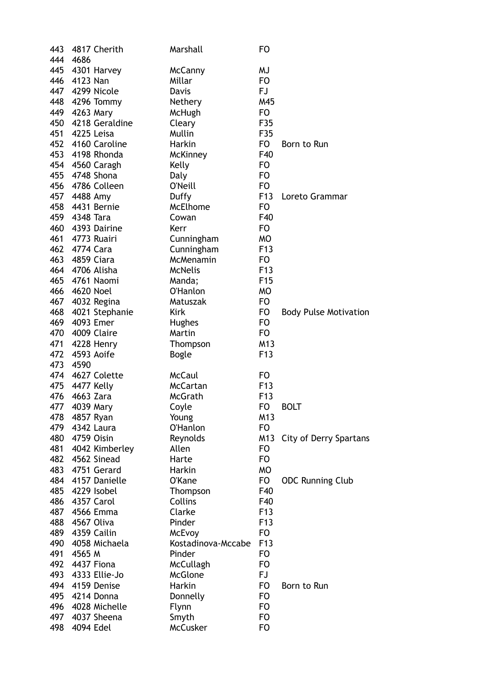| 443 | 4817 Cherith     | Marshall                | <b>FO</b>       |                              |
|-----|------------------|-------------------------|-----------------|------------------------------|
| 444 | 4686             |                         |                 |                              |
| 445 | 4301 Harvey      | McCanny                 | MJ              |                              |
| 446 | 4123 Nan         | Millar                  | F <sub>O</sub>  |                              |
|     | 447 4299 Nicole  | Davis                   | FJ              |                              |
|     | 448 4296 Tommy   | Nethery                 | M45             |                              |
|     | 449 4263 Mary    | McHugh                  | F <sub>O</sub>  |                              |
| 450 | 4218 Geraldine   | Cleary                  | F35             |                              |
| 451 | 4225 Leisa       | Mullin                  | F35             |                              |
| 452 | 4160 Caroline    | Harkin                  | FO.             | Born to Run                  |
|     | 453 4198 Rhonda  | McKinney                | F40             |                              |
|     | 454 4560 Caragh  | Kelly                   | F <sub>O</sub>  |                              |
|     | 455 4748 Shona   | Daly                    | F <sub>O</sub>  |                              |
| 456 | 4786 Colleen     | O'Neill                 | F <sub>O</sub>  |                              |
| 457 | 4488 Amy         | Duffy                   | F <sub>13</sub> | Loreto Grammar               |
|     | 458 4431 Bernie  | McElhome                | F <sub>O</sub>  |                              |
|     | 459 4348 Tara    | Cowan                   | F40             |                              |
|     | 460 4393 Dairine | Kerr                    | FO              |                              |
|     | 461 4773 Ruairi  |                         | <b>MO</b>       |                              |
|     | 462 4774 Cara    | Cunningham              |                 |                              |
|     |                  | Cunningham<br>McMenamin | F <sub>13</sub> |                              |
| 463 | 4859 Ciara       |                         | FO              |                              |
| 464 | 4706 Alisha      | <b>McNelis</b>          | F <sub>13</sub> |                              |
|     | 465 4761 Naomi   | Manda;                  | F <sub>15</sub> |                              |
|     | 466 4620 Noel    | <b>O'Hanlon</b>         | <b>MO</b>       |                              |
|     | 467 4032 Regina  | Matuszak                | F <sub>O</sub>  |                              |
| 468 | 4021 Stephanie   | <b>Kirk</b>             | FO.             | <b>Body Pulse Motivation</b> |
| 469 | 4093 Emer        | Hughes                  | F <sub>O</sub>  |                              |
| 470 | 4009 Claire      | Martin                  | F <sub>O</sub>  |                              |
| 471 | 4228 Henry       | Thompson                | M13             |                              |
|     | 472 4593 Aoife   | <b>Bogle</b>            | F <sub>13</sub> |                              |
|     | 473 4590         |                         |                 |                              |
| 474 | 4627 Colette     | <b>McCaul</b>           | FO              |                              |
| 475 | 4477 Kelly       | McCartan                | F <sub>13</sub> |                              |
| 476 | 4663 Zara        | McGrath                 | F <sub>13</sub> |                              |
| 477 | 4039 Mary        | Coyle                   | FO              | <b>BOLT</b>                  |
|     | 478 4857 Ryan    | Young                   | M13             |                              |
| 479 | 4342 Laura       | O'Hanlon                | FO              |                              |
| 480 | 4759 Oisin       | Reynolds                | M13             | City of Derry Spartans       |
| 481 | 4042 Kimberley   | Allen                   | <b>FO</b>       |                              |
| 482 | 4562 Sinead      | Harte                   | <b>FO</b>       |                              |
| 483 | 4751 Gerard      | Harkin                  | <b>MO</b>       |                              |
| 484 | 4157 Danielle    | O'Kane                  | FO              | <b>ODC Running Club</b>      |
| 485 | 4229 Isobel      | Thompson                | F40             |                              |
| 486 | 4357 Carol       | Collins                 | F40             |                              |
| 487 | 4566 Emma        | Clarke                  | F <sub>13</sub> |                              |
| 488 | 4567 Oliva       | Pinder                  | F <sub>13</sub> |                              |
| 489 | 4359 Cailin      | McEvoy                  | F <sub>O</sub>  |                              |
| 490 | 4058 Michaela    | Kostadinova-Mccabe      | F <sub>13</sub> |                              |
| 491 | 4565 M           | Pinder                  | <b>FO</b>       |                              |
| 492 | 4437 Fiona       | McCullagh               | <b>FO</b>       |                              |
| 493 | 4333 Ellie-Jo    | McGlone                 | FJ              |                              |
| 494 | 4159 Denise      | Harkin                  | <b>FO</b>       | Born to Run                  |
| 495 | 4214 Donna       | Donnelly                | F <sub>O</sub>  |                              |
| 496 | 4028 Michelle    | Flynn                   | <b>FO</b>       |                              |
| 497 | 4037 Sheena      | Smyth                   | <b>FO</b>       |                              |
| 498 | 4094 Edel        | McCusker                | <b>FO</b>       |                              |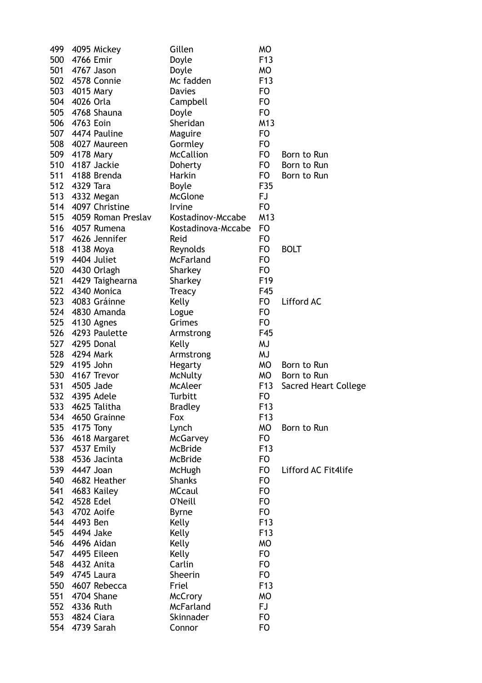| 499 | 4095 Mickey        | Gillen             | <b>MO</b>        |                             |
|-----|--------------------|--------------------|------------------|-----------------------------|
| 500 | 4766 Emir          | Doyle              | F <sub>13</sub>  |                             |
| 501 | 4767 Jason         | Doyle              | <b>MO</b>        |                             |
|     | 502 4578 Connie    | Mc fadden          | F <sub>13</sub>  |                             |
| 503 | 4015 Mary          | <b>Davies</b>      | F <sub>O</sub>   |                             |
|     | 504 4026 Orla      | Campbell           | F <sub>O</sub>   |                             |
| 505 | 4768 Shauna        | Doyle              | F <sub>O</sub>   |                             |
| 506 | 4763 Eoin          | Sheridan           | M13              |                             |
| 507 | 4474 Pauline       | Maguire            | F <sub>O</sub>   |                             |
| 508 | 4027 Maureen       | Gormley            | F <sub>O</sub>   |                             |
|     | 509 4178 Mary      | <b>McCallion</b>   | FO               | Born to Run                 |
| 510 | 4187 Jackie        | Doherty            | FO.              | Born to Run                 |
| 511 | 4188 Brenda        | Harkin             | FO.              | Born to Run                 |
| 512 | 4329 Tara          | <b>Boyle</b>       | F35              |                             |
| 513 | 4332 Megan         | <b>McGlone</b>     | FJ               |                             |
|     | 514 4097 Christine | Irvine             | F <sub>O</sub>   |                             |
| 515 | 4059 Roman Preslav | Kostadinov-Mccabe  | M13              |                             |
|     | 516 4057 Rumena    | Kostadinova-Mccabe | F <sub>O</sub>   |                             |
|     | 517 4626 Jennifer  | Reid               | F <sub>O</sub>   |                             |
|     | 518 4138 Moya      | Reynolds           | FO               | <b>BOLT</b>                 |
| 519 | 4404 Juliet        | McFarland          | F <sub>O</sub>   |                             |
|     | 520 4430 Orlagh    | Sharkey            | F <sub>O</sub>   |                             |
| 521 | 4429 Taighearna    | Sharkey            | F <sub>19</sub>  |                             |
| 522 | 4340 Monica        | <b>Treacy</b>      | F45              |                             |
| 523 | 4083 Gráinne       | Kelly              | <b>FO</b>        | Lifford AC                  |
|     | 524 4830 Amanda    | Logue              | F <sub>O</sub>   |                             |
| 525 | 4130 Agnes         | Grimes             | F <sub>O</sub>   |                             |
| 526 | 4293 Paulette      | Armstrong          | F45              |                             |
| 527 | 4295 Donal         | Kelly              | <b>MJ</b>        |                             |
| 528 | 4294 Mark          | Armstrong          | <b>MJ</b>        |                             |
|     | 529 4195 John      | <b>Hegarty</b>     | МO               | Born to Run                 |
| 530 | 4167 Trevor        | McNulty            | <b>MO</b>        | Born to Run                 |
| 531 | 4505 Jade          | <b>McAleer</b>     | F <sub>13</sub>  | <b>Sacred Heart College</b> |
| 532 | 4395 Adele         | Turbitt            | FO               |                             |
|     | 533 4625 Talitha   | <b>Bradley</b>     | F <sub>13</sub>  |                             |
|     | 534 4650 Grainne   | Fox                | F <sub>1</sub> 3 |                             |
|     | 535 4175 Tony      | Lynch              | MO               | Born to Run                 |
|     | 536 4618 Margaret  | McGarvey           | FO               |                             |
|     | 537 4537 Emily     | McBride            | F <sub>13</sub>  |                             |
| 538 | 4536 Jacinta       | McBride            | FO               |                             |
| 539 | 4447 Joan          | McHugh             | FO               | Lifford AC Fit4life         |
| 540 | 4682 Heather       | <b>Shanks</b>      | FO               |                             |
| 541 | 4683 Kailey        | <b>MCcaul</b>      | FO               |                             |
|     | 542 4528 Edel      | O'Neill            | F <sub>O</sub>   |                             |
|     | 543 4702 Aoife     | <b>Byrne</b>       | F <sub>O</sub>   |                             |
|     | 544 4493 Ben       | Kelly              | F <sub>13</sub>  |                             |
| 545 | 4494 Jake          | Kelly              | F <sub>13</sub>  |                             |
|     | 546 4496 Aidan     | Kelly              | <b>MO</b>        |                             |
|     | 547 4495 Eileen    | Kelly              | F <sub>O</sub>   |                             |
|     | 548 4432 Anita     | Carlin             | FO               |                             |
|     | 549 4745 Laura     | Sheerin            | F <sub>O</sub>   |                             |
| 550 | 4607 Rebecca       | Friel              | F <sub>13</sub>  |                             |
| 551 | 4704 Shane         | <b>McCrory</b>     | <b>MO</b>        |                             |
| 552 | 4336 Ruth          | <b>McFarland</b>   | FJ.              |                             |
| 553 | 4824 Ciara         | Skinnader          | F <sub>O</sub>   |                             |
|     | 554 4739 Sarah     | Connor             | FO               |                             |
|     |                    |                    |                  |                             |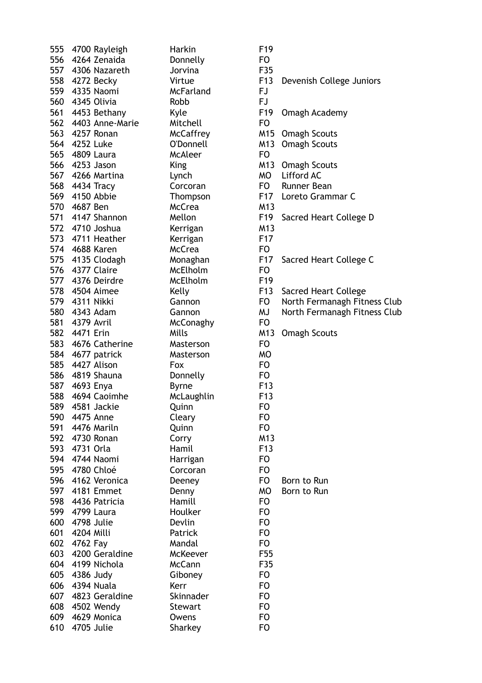|     | 555 4700 Rayleigh   | Harkin           | F19             |
|-----|---------------------|------------------|-----------------|
|     | 556 4264 Zenaida    | Donnelly         | FO.             |
|     | 557 4306 Nazareth   | Jorvina          | F35             |
|     | 558 4272 Becky      | Virtue           | F <sub>13</sub> |
|     | 559 4335 Naomi      | McFarland        | FJ.             |
|     | 560 4345 Olivia     | Robb             | FJ              |
|     | 561 4453 Bethany    | Kyle             | F <sub>19</sub> |
|     | 562 4403 Anne-Marie | Mitchell         | FO              |
|     | 563 4257 Ronan      | <b>McCaffrey</b> | M15             |
|     | 564 4252 Luke       | O'Donnell        | M13             |
|     | 565 4809 Laura      | <b>McAleer</b>   | FO.             |
|     |                     |                  | M13             |
|     | 566 4253 Jason      | King             |                 |
|     | 567 4266 Martina    | Lynch            | МO              |
|     | 568 4434 Tracy      | Corcoran         | FO              |
|     | 569 4150 Abbie      | Thompson         | F17             |
|     | 570 4687 Ben        | <b>McCrea</b>    | M13             |
|     | 571 4147 Shannon    | Mellon           | F <sub>19</sub> |
|     | 572 4710 Joshua     | Kerrigan         | M13             |
|     | 573 4711 Heather    | Kerrigan         | F <sub>17</sub> |
|     | 574 4688 Karen      | <b>McCrea</b>    | FO              |
|     | 575 4135 Clodagh    | Monaghan         | F <sub>17</sub> |
|     | 576 4377 Claire     | McElholm         | FO              |
|     | 577 4376 Deirdre    | McElholm         | F <sub>19</sub> |
|     | 578 4504 Aimee      | Kelly            | F <sub>13</sub> |
|     | 579 4311 Nikki      | Gannon           | FO              |
|     | 580 4343 Adam       | Gannon           | MJ              |
|     | 581 4379 Avril      | <b>McConaghy</b> | FO.             |
|     | 582 4471 Erin       |                  | M13             |
|     |                     | Mills            |                 |
|     | 583 4676 Catherine  | Masterson        | FO              |
|     | 584 4677 patrick    | Masterson        | <b>MO</b>       |
|     | 585 4427 Alison     | Fox              | FO              |
|     | 586 4819 Shauna     | Donnelly         | FO              |
|     | 587 4693 Enya       | <b>Byrne</b>     | F <sub>13</sub> |
|     | 588 4694 Caoimhe    | McLaughlin       | F <sub>13</sub> |
| 589 | 4581 Jackie         | Quinn            | FO              |
|     | 590 4475 Anne       | Cleary           | FO              |
|     | 591 4476 Mariln     | Quinn            | FO              |
|     | 592 4730 Ronan      | Corry            | M13             |
|     | 593 4731 Orla       | Hamil            | F <sub>13</sub> |
|     | 594 4744 Naomi      | Harrigan         | FO              |
|     | 595 4780 Chloé      | Corcoran         | FO              |
|     | 596 4162 Veronica   | Deeney           | FO              |
|     | 597 4181 Emmet      | Denny            | <b>MO</b>       |
|     | 598 4436 Patricia   | Hamill           | FO              |
|     | 599 4799 Laura      | <b>Houlker</b>   | <b>FO</b>       |
|     |                     |                  |                 |
|     | 600 4798 Julie      | Devlin           | FO              |
| 601 | 4204 Milli          | Patrick          | FO              |
| 602 | 4762 Fay            | Mandal           | FO              |
| 603 | 4200 Geraldine      | McKeever         | F55             |
| 604 | 4199 Nichola        | <b>McCann</b>    | F35             |
|     | 605 4386 Judy       | Giboney          | FO              |
|     | 606 4394 Nuala      | Kerr             | FO              |
| 607 | 4823 Geraldine      | Skinnader        | FO              |
|     | 608 4502 Wendy      | Stewart          | FO              |
| 609 | 4629 Monica         | Owens            | FO              |
| 610 | 4705 Julie          | Sharkey          | FO              |
|     |                     |                  |                 |

Virtue F13 Devenish College Juniors Kyle F19 Omagh Academy McCaffrey M15 Omagh Scouts O'Donnell M13 Omagh Scouts King M13 Omagh Scouts Lynch MO Lifford AC Corcoran FO Runner Bean Thompson F17 Loreto Grammar C Mellon F19 Sacred Heart College D Monaghan F17 Sacred Heart College C Kelly F13 Sacred Heart College Gannon FO North Fermanagh Fitness Club Gannon MJ North Fermanagh Fitness Club Mills M13 Omagh Scouts Deeney FO Born to Run Denny MO Born to Run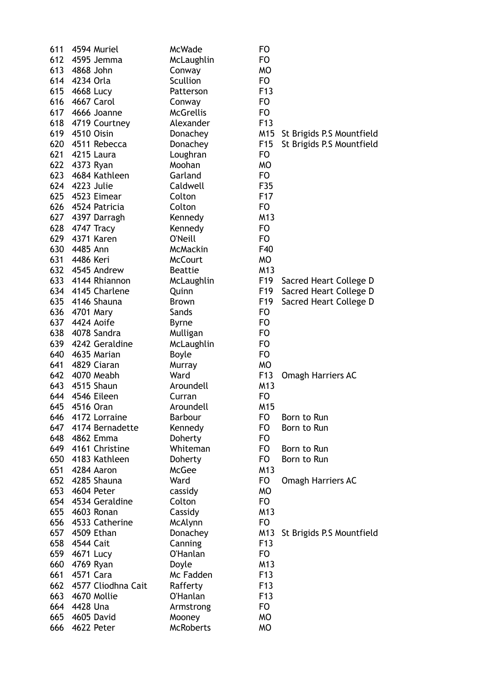| 611 | 4594 Muriel        | McWade           | <b>FO</b>       |                           |
|-----|--------------------|------------------|-----------------|---------------------------|
|     | 612 4595 Jemma     | McLaughlin       | <b>FO</b>       |                           |
| 613 | 4868 John          | Conway           | МO              |                           |
| 614 | 4234 Orla          | Scullion         | <b>FO</b>       |                           |
| 615 | 4668 Lucy          | Patterson        | F <sub>13</sub> |                           |
|     | 616 4667 Carol     | Conway           | F <sub>O</sub>  |                           |
|     | 617 4666 Joanne    | <b>McGrellis</b> | F <sub>O</sub>  |                           |
|     | 618 4719 Courtney  | Alexander        | F <sub>13</sub> |                           |
| 619 | 4510 Oisin         | Donachey         | M15             | St Brigids P.S Mountfield |
| 620 | 4511 Rebecca       | Donachey         | F <sub>15</sub> | St Brigids P.S Mountfield |
| 621 | 4215 Laura         | Loughran         | F <sub>O</sub>  |                           |
| 622 | 4373 Ryan          | Moohan           | МO              |                           |
|     | 623 4684 Kathleen  | Garland          | F <sub>O</sub>  |                           |
|     | 624 4223 Julie     | Caldwell         | F35             |                           |
|     | 625 4523 Eimear    | Colton           | F <sub>17</sub> |                           |
| 626 | 4524 Patricia      | Colton           | <b>FO</b>       |                           |
| 627 | 4397 Darragh       | Kennedy          | M13             |                           |
| 628 | 4747 Tracy         | Kennedy          | <b>FO</b>       |                           |
|     | 629 4371 Karen     | O'Neill          | <b>FO</b>       |                           |
|     | 630 4485 Ann       | <b>McMackin</b>  | F40             |                           |
|     | 631 4486 Keri      | <b>McCourt</b>   | <b>MO</b>       |                           |
| 632 | 4545 Andrew        | <b>Beattie</b>   | M13             |                           |
| 633 | 4144 Rhiannon      | McLaughlin       | F <sub>19</sub> | Sacred Heart College D    |
|     | 634 4145 Charlene  | Quinn            | F <sub>19</sub> | Sacred Heart College D    |
|     | 635 4146 Shauna    | <b>Brown</b>     | F <sub>19</sub> | Sacred Heart College D    |
|     | 636 4701 Mary      | Sands            | <b>FO</b>       |                           |
|     | 637 4424 Aoife     | <b>Byrne</b>     | F <sub>O</sub>  |                           |
| 638 | 4078 Sandra        | Mulligan         | <b>FO</b>       |                           |
| 639 | 4242 Geraldine     | McLaughlin       | <b>FO</b>       |                           |
| 640 | 4635 Marian        | <b>Boyle</b>     | F <sub>O</sub>  |                           |
| 641 | 4829 Ciaran        | Murray           | <b>MO</b>       |                           |
|     | 642 4070 Meabh     | Ward             | F <sub>13</sub> | Omagh Harriers AC         |
|     | 643 4515 Shaun     | Aroundell        | M13             |                           |
| 644 | 4546 Eileen        | Curran           | <b>FO</b>       |                           |
| 645 | 4516 Oran          | Aroundell        | M15             |                           |
| 646 | 4172 Lorraine      | <b>Barbour</b>   | FO              | Born to Run               |
| 647 | 4174 Bernadette    | Kennedy          | <b>FO</b>       | Born to Run               |
|     | 648 4862 Emma      | Doherty          | <b>FO</b>       |                           |
|     | 649 4161 Christine | Whiteman         | FO              | Born to Run               |
| 650 | 4183 Kathleen      | Doherty          | FO              | Born to Run               |
| 651 | 4284 Aaron         | <b>McGee</b>     | M13             |                           |
| 652 | 4285 Shauna        | Ward             | FO              | <b>Omagh Harriers AC</b>  |
| 653 | 4604 Peter         | cassidy          | МO              |                           |
|     | 654 4534 Geraldine | Colton           | FO              |                           |
| 655 | 4603 Ronan         | Cassidy          | M13             |                           |
| 656 | 4533 Catherine     | McAlynn          | F <sub>O</sub>  |                           |
| 657 | 4509 Ethan         | Donachey         | M13             | St Brigids P.S Mountfield |
| 658 | 4544 Cait          | Canning          | F <sub>13</sub> |                           |
| 659 | 4671 Lucy          | <b>O'Hanlan</b>  | FO              |                           |
| 660 | 4769 Ryan          | Doyle            | M13             |                           |
| 661 | 4571 Cara          | Mc Fadden        | F <sub>13</sub> |                           |
| 662 | 4577 Cliodhna Cait | Rafferty         | F <sub>13</sub> |                           |
| 663 | 4670 Mollie        | <b>O'Hanlan</b>  | F <sub>13</sub> |                           |
| 664 | 4428 Una           | Armstrong        | <b>FO</b>       |                           |
| 665 | 4605 David         | Mooney           | <b>MO</b>       |                           |
| 666 | 4622 Peter         | <b>McRoberts</b> | <b>MO</b>       |                           |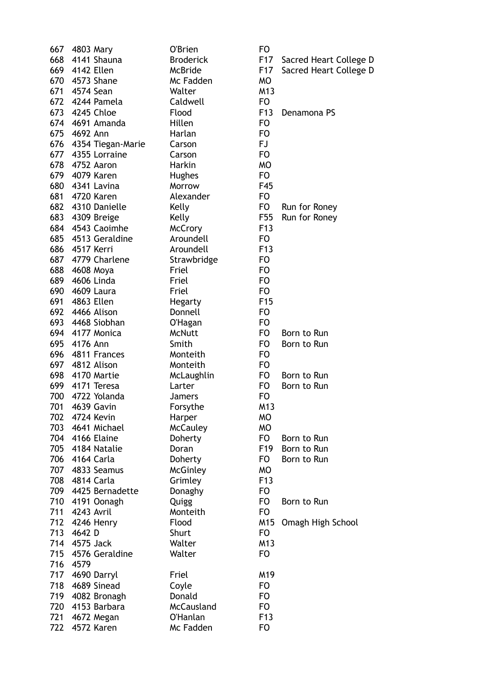|     | 667 4803 Mary      | O'Brien          | <b>FO</b>       |                        |
|-----|--------------------|------------------|-----------------|------------------------|
|     | 668 4141 Shauna    | <b>Broderick</b> | F17             | Sacred Heart College D |
|     | 669 4142 Ellen     | McBride          | F17             | Sacred Heart College D |
| 670 | 4573 Shane         | Mc Fadden        | <b>MO</b>       |                        |
| 671 | 4574 Sean          | Walter           | M13             |                        |
|     | 672 4244 Pamela    | Caldwell         | F <sub>O</sub>  |                        |
|     | 673 4245 Chloe     | Flood            | F <sub>13</sub> | Denamona PS            |
|     | 674 4691 Amanda    | Hillen           | <b>FO</b>       |                        |
|     | 675 4692 Ann       | Harlan           | F <sub>O</sub>  |                        |
| 676 | 4354 Tiegan-Marie  | Carson           | <b>FJ</b>       |                        |
| 677 | 4355 Lorraine      | Carson           | <b>FO</b>       |                        |
| 678 | 4752 Aaron         | Harkin           | <b>MO</b>       |                        |
|     | 679 4079 Karen     | <b>Hughes</b>    | F <sub>O</sub>  |                        |
| 680 | 4341 Lavina        | Morrow           | F45             |                        |
|     |                    |                  |                 |                        |
|     | 681 4720 Karen     | Alexander        | F <sub>O</sub>  |                        |
| 682 | 4310 Danielle      | Kelly            | FO              | Run for Roney          |
|     | 683 4309 Breige    | Kelly            | F <sub>55</sub> | Run for Roney          |
|     | 684 4543 Caoimhe   | <b>McCrory</b>   | F <sub>13</sub> |                        |
|     | 685 4513 Geraldine | Aroundell        | F <sub>O</sub>  |                        |
|     | 686 4517 Kerri     | Aroundell        | F <sub>13</sub> |                        |
|     | 687 4779 Charlene  | Strawbridge      | F <sub>O</sub>  |                        |
| 688 | 4608 Moya          | Friel            | F <sub>O</sub>  |                        |
| 689 | 4606 Linda         | Friel            | <b>FO</b>       |                        |
| 690 | 4609 Laura         | Friel            | <b>FO</b>       |                        |
| 691 | 4863 Ellen         | <b>Hegarty</b>   | F <sub>15</sub> |                        |
| 692 | 4466 Alison        | Donnell          | <b>FO</b>       |                        |
|     | 693 4468 Siobhan   | O'Hagan          | <b>FO</b>       |                        |
|     | 694 4177 Monica    | <b>McNutt</b>    | F <sub>O</sub>  | Born to Run            |
| 695 | 4176 Ann           | Smith            | F <sub>O</sub>  | Born to Run            |
| 696 | 4811 Frances       | Monteith         | <b>FO</b>       |                        |
|     | 697 4812 Alison    | Monteith         | F <sub>O</sub>  |                        |
|     | 698 4170 Martie    | McLaughlin       | F <sub>O</sub>  | Born to Run            |
|     | 699 4171 Teresa    | Larter           | F <sub>O</sub>  | Born to Run            |
| 700 | 4722 Yolanda       | <b>Jamers</b>    | <b>FO</b>       |                        |
| 701 | 4639 Gavin         | Forsythe         | M13             |                        |
| 702 | 4724 Kevin         | Harper           | <b>MO</b>       |                        |
|     | 703 4641 Michael   | <b>McCauley</b>  | <b>MO</b>       |                        |
|     | 704 4166 Elaine    | Doherty          | FO              | Born to Run            |
|     | 705 4184 Natalie   | Doran            | F <sub>19</sub> | Born to Run            |
|     | 706 4164 Carla     |                  | F <sub>O</sub>  | Born to Run            |
| 707 |                    | Doherty          |                 |                        |
|     | 4833 Seamus        | McGinley         | <b>MO</b>       |                        |
| 708 | 4814 Carla         | Grimley          | F <sub>13</sub> |                        |
| 709 | 4425 Bernadette    | Donaghy          | <b>FO</b>       |                        |
|     | 710 4191 Oonagh    | Quigg            | <b>FO</b>       | Born to Run            |
| 711 | 4243 Avril         | Monteith         | <b>FO</b>       |                        |
|     | 712 4246 Henry     | Flood            | M15             | Omagh High School      |
| 713 | 4642 D             | Shurt            | F <sub>O</sub>  |                        |
| 714 | 4575 Jack          | Walter           | M13             |                        |
| 715 | 4576 Geraldine     | Walter           | <b>FO</b>       |                        |
| 716 | 4579               |                  |                 |                        |
|     | 717 4690 Darryl    | Friel            | M19             |                        |
| 718 | 4689 Sinead        | Coyle            | F <sub>O</sub>  |                        |
| 719 | 4082 Bronagh       | Donald           | F <sub>O</sub>  |                        |
| 720 | 4153 Barbara       | McCausland       | <b>FO</b>       |                        |
| 721 | 4672 Megan         | <b>O'Hanlan</b>  | F <sub>13</sub> |                        |
| 722 | 4572 Karen         | Mc Fadden        | <b>FO</b>       |                        |
|     |                    |                  |                 |                        |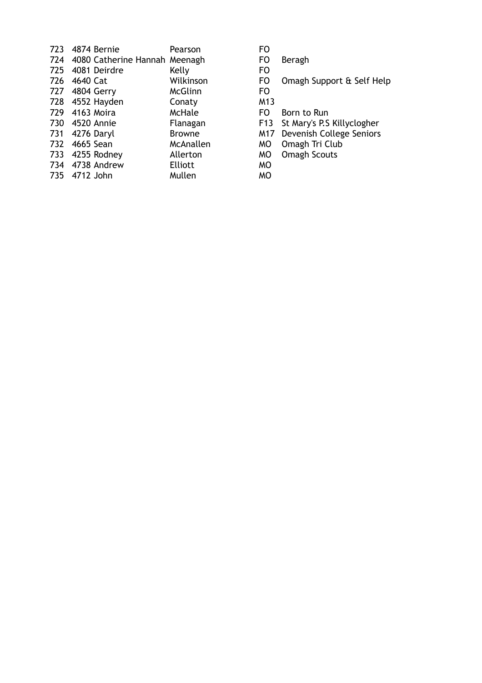| 723 | 4874 Bernie                       | Pearson        | FO              |
|-----|-----------------------------------|----------------|-----------------|
|     | 724 4080 Catherine Hannah Meenagh |                | <b>FO</b>       |
|     | 725 4081 Deirdre                  | Kelly          | F <sub>O</sub>  |
| 726 | 4640 Cat                          | Wilkinson      | F <sub>O</sub>  |
|     | 727 4804 Gerry                    | McGlinn        | F <sub>O</sub>  |
|     | 728 4552 Hayden                   | Conaty         | M13             |
|     | 729 4163 Moira                    | McHale         | FO              |
|     | 730 4520 Annie                    | Flanagan       | F <sub>13</sub> |
|     | 731 4276 Daryl                    | <b>Browne</b>  | M17             |
|     | 732 4665 Sean                     | McAnallen      | МO              |
|     | 733 4255 Rodney                   | Allerton       | МO              |
|     | 734 4738 Andrew                   | <b>Elliott</b> | МO              |
|     | 735 4712 John                     | Mullen         | <b>MO</b>       |

- 
- FO Beragh<br>FO
- 
- FO Omagh Support & Self Help

- 
- FO Born to Run
- F13 St Mary's P.S Killyclogher
- M17 Devenish College Seniors
- MO Omagh Tri Club
- MO Omagh Scouts<br>MO
-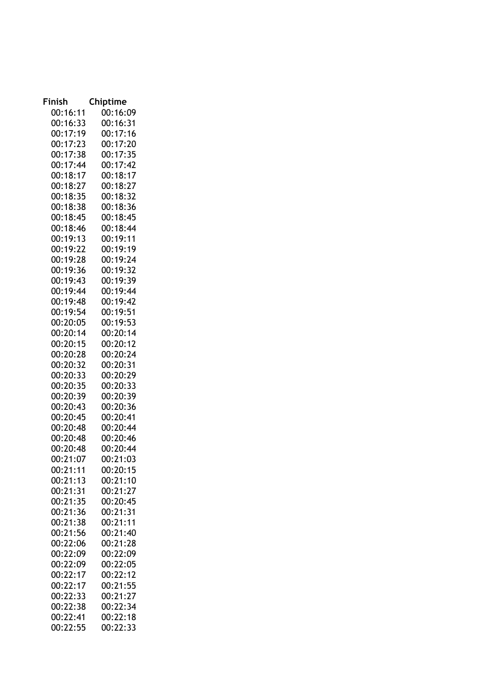| Finish               | Chiptime             |
|----------------------|----------------------|
| 00:16:11             | 00:16:09             |
| 00:16:33             | 00:16:31             |
| 00:17:19             | 00:17:16             |
| 00:17:23             | 00:17:20             |
| 00:17:38             | 00:17:35             |
| 00:17:44             | 00:17:42             |
| 00:18:17             | 00:18:17             |
| 00:18:27             | 00:18:27             |
| 00:18:35             | 00:18:32             |
| 00:18:38             | 00:18:36             |
| 00:18:45             | 00:18:45             |
| 00:18:46             | 00:18:44             |
| 00:19:13             | 00:19:11             |
| 00:19:22             | 00:19:19             |
| 00:19:28             | 00:19:24             |
| 00:19:36             | 00:19:32             |
| 00:19:43             | 00:19:39             |
| 00:19:44             | 00:19:44             |
| 00:19:48             | 00:19:42             |
| 00:19:54             | 00:19:51             |
| 00:20:05             | 00:19:53             |
| 00:20:14             | 00:20:14             |
| 00:20:15             | 00:20:12             |
| 00:20:28             | 00:20:24             |
| 00:20:32             | 00:20:31             |
| 00:20:33             | 00:20:29             |
| 00:20:35             | 00:20:33             |
| 00:20:39             | 00:20:39             |
| 00:20:43             | 00:20:36             |
| 00:20:45             | 00:20:41             |
| 00:20:48<br>00:20:48 | 00:20:44<br>00:20:46 |
| 00:20:48             | 00:20:44             |
| 00:21:07             | 00:21:03             |
| 00:21:11             | 00:20:15             |
| 00:21:13             | 00:21:10             |
| 00:21:31             | 00:21:27             |
| 00:21:35             | 00:20:45             |
| 00:21:36             | 00:21:31             |
| 00:21:38             | 00:21:11             |
| 00:21:56             | 00:21:40             |
| 00:22:06             | 00:21:28             |
| 00:22:09             | 00:22:09             |
| 00:22:09             | 00:22:05             |
| 00:22:17             | 00:22:12             |
| 00:22:17             | 00:21:55             |
| 00:22:33             | 00:21:27             |
| 00:22:38             | 00:22:34             |
| 00:22:41             | 00:22:18             |
| 00:22:55             | 00:22:33             |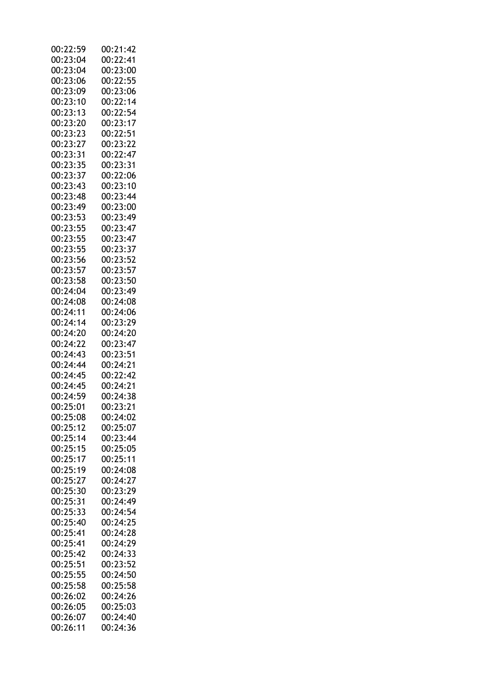| 00:22:59 | 00:21:42 |
|----------|----------|
| 00:23:04 | 00:22:41 |
| 00:23:04 | 00:23:00 |
| 00:23:06 | 00:22:55 |
| 00:23:09 | 00:23:06 |
|          |          |
| 00:23:10 | 00:22:14 |
| 00:23:13 | 00:22:54 |
| 00:23:20 | 00:23:17 |
| 00:23:23 | 00:22:51 |
| 00:23:27 | 00:23:22 |
| 00:23:31 | 00:22:47 |
| 00:23:35 | 00:23:31 |
| 00:23:37 | 00:22:06 |
| 00:23:43 | 00:23:10 |
|          |          |
| 00:23:48 | 00:23:44 |
| 00:23:49 | 00:23:00 |
| 00:23:53 | 00:23:49 |
| 00:23:55 | 00:23:47 |
| 00:23:55 | 00:23:47 |
| 00:23:55 | 00:23:37 |
| 00:23:56 | 00:23:52 |
| 00:23:57 | 00:23:57 |
| 00:23:58 | 00:23:50 |
|          |          |
| 00:24:04 | 00:23:49 |
| 00:24:08 | 00:24:08 |
| 00:24:11 | 00:24:06 |
| 00:24:14 | 00:23:29 |
| 00:24:20 | 00:24:20 |
| 00:24:22 | 00:23:47 |
| 00:24:43 | 00:23:51 |
| 00:24:44 | 00:24:21 |
| 00:24:45 | 00:22:42 |
|          |          |
| 00:24:45 | 00:24:21 |
| 00:24:59 | 00:24:38 |
| 00:25:01 | 00:23:21 |
| 00:25:08 | 00:24:02 |
| 00:25:12 | 00:25:07 |
| 00:25:14 | 00:23:44 |
| 00:25:15 | 00:25:05 |
| 00:25:17 | 00:25:11 |
| 00:25:19 | 00:24:08 |
| 00:25:27 | 00:24:27 |
|          |          |
| 00:25:30 | 00:23:29 |
| 00:25:31 | 00:24:49 |
| 00:25:33 | 00:24:54 |
| 00:25:40 | 00:24:25 |
| 00:25:41 | 00:24:28 |
| 00:25:41 | 00:24:29 |
| 00:25:42 | 00:24:33 |
| 00:25:51 | 00:23:52 |
| 00:25:55 | 00:24:50 |
|          |          |
| 00:25:58 | 00:25:58 |
| 00:26:02 | 00:24:26 |
| 00:26:05 | 00:25:03 |
| 00:26:07 | 00:24:40 |
| 00:26:11 | 00:24:36 |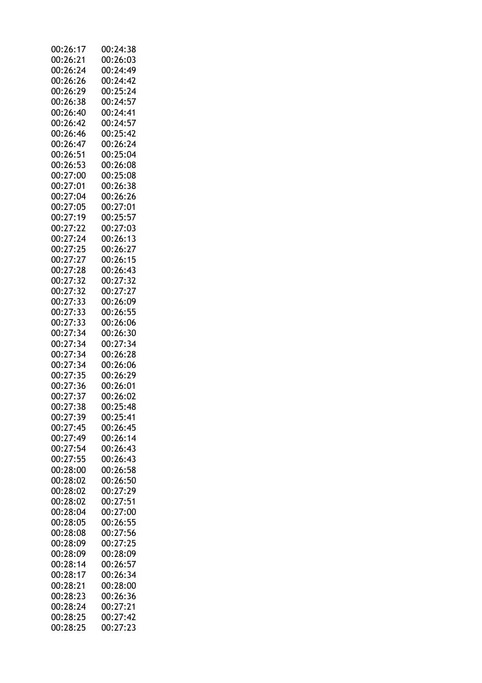| 00:26:17 | 00:24:38 |
|----------|----------|
| 00:26:21 | 00:26:03 |
| 00:26:24 | 00:24:49 |
| 00:26:26 | 00:24:42 |
| 00:26:29 | 00:25:24 |
| 00:26:38 | 00:24:57 |
| 00:26:40 | 00:24:41 |
| 00:26:42 | 00:24:57 |
| 00:26:46 | 00:25:42 |
| 00:26:47 | 00:26:24 |
| 00:26:51 |          |
|          | 00:25:04 |
| 00:26:53 | 00:26:08 |
| 00:27:00 | 00:25:08 |
| 00:27:01 | 00:26:38 |
| 00:27:04 | 00:26:26 |
| 00:27:05 | 00:27:01 |
| 00:27:19 | 00:25:57 |
| 00:27:22 | 00:27:03 |
| 00:27:24 | 00:26:13 |
| 00:27:25 | 00:26:27 |
| 00:27:27 | 00:26:15 |
| 00:27:28 | 00:26:43 |
| 00:27:32 | 00:27:32 |
| 00:27:32 | 00:27:27 |
| 00:27:33 | 00:26:09 |
| 00:27:33 | 00:26:55 |
| 00:27:33 | 00:26:06 |
| 00:27:34 | 00:26:30 |
| 00:27:34 | 00:27:34 |
| 00:27:34 | 00:26:28 |
| 00:27:34 | 00:26:06 |
| 00:27:35 | 00:26:29 |
|          |          |
| 00:27:36 | 00:26:01 |
| 00:27:37 | 00:26:02 |
| 00:27:38 | 00:25:48 |
| 00:27:39 | 00:25:41 |
| 00:27:45 | 00:26:45 |
| 00:27:49 | 00:26:14 |
| 00:27:54 | 00:26:43 |
| 00:27:55 | 00:26:43 |
| 00:28:00 | 00:26:58 |
| 00:28:02 | 00:26:50 |
| 00:28:02 | 00:27:29 |
| 00:28:02 | 00:27:51 |
| 00:28:04 | 00:27:00 |
| 00:28:05 | 00:26:55 |
| 00:28:08 | 00:27:56 |
| 00:28:09 | 00:27:25 |
| 00:28:09 | 00:28:09 |
| 00:28:14 | 00:26:57 |
| 00:28:17 | 00:26:34 |
| 00:28:21 | 00:28:00 |
| 00:28:23 | 00:26:36 |
| 00:28:24 | 00:27:21 |
| 00:28:25 |          |
|          | 00:27:42 |
| 00:28:25 | 00:27:23 |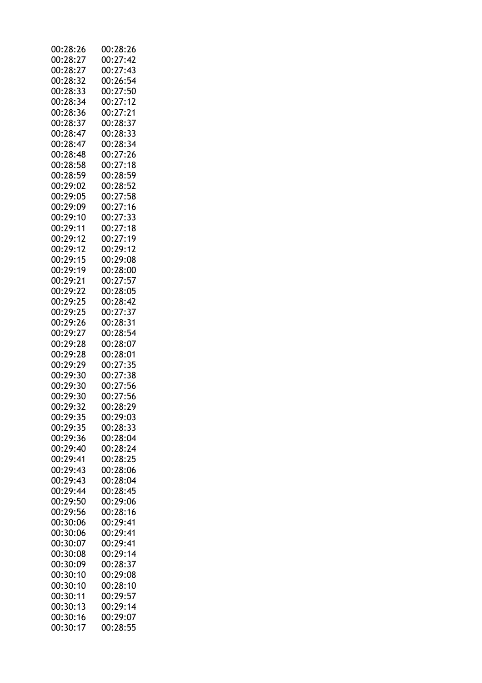| 00:28:26 | 00:28:26 |
|----------|----------|
| 00:28:27 | 00:27:42 |
| 00:28:27 | 00:27:43 |
| 00:28:32 | 00:26:54 |
| 00:28:33 | 00:27:50 |
| 00:28:34 | 00:27:12 |
| 00:28:36 | 00:27:21 |
| 00:28:37 | 00:28:37 |
| 00:28:47 | 00:28:33 |
| 00:28:47 | 00:28:34 |
| 00:28:48 | 00:27:26 |
| 00:28:58 | 00:27:18 |
| 00:28:59 | 00:28:59 |
| 00:29:02 | 00:28:52 |
| 00:29:05 | 00:27:58 |
| 00:29:09 |          |
|          | 00:27:16 |
| 00:29:10 | 00:27:33 |
| 00:29:11 | 00:27:18 |
| 00:29:12 | 00:27:19 |
| 00:29:12 | 00:29:12 |
| 00:29:15 | 00:29:08 |
| 00:29:19 | 00:28:00 |
| 00:29:21 | 00:27:57 |
| 00:29:22 | 00:28:05 |
| 00:29:25 | 00:28:42 |
| 00:29:25 | 00:27:37 |
| 00:29:26 | 00:28:31 |
| 00:29:27 | 00:28:54 |
| 00:29:28 | 00:28:07 |
| 00:29:28 | 00:28:01 |
| 00:29:29 | 00:27:35 |
| 00:29:30 | 00:27:38 |
| 00:29:30 | 00:27:56 |
| 00:29:30 | 00:27:56 |
| 00:29:32 | 00:28:29 |
| 00:29:35 | 00:29:03 |
| 00:29:35 | 00:28:33 |
| 00:29:36 | 00:28:04 |
| 00:29:40 | 00:28:24 |
| 00:29:41 | 00:28:25 |
| 00:29:43 | 00:28:06 |
| 00:29:43 | 00:28:04 |
| 00:29:44 | 00:28:45 |
| 00:29:50 |          |
|          | 00:29:06 |
| 00:29:56 | 00:28:16 |
| 00:30:06 | 00:29:41 |
| 00:30:06 | 00:29:41 |
| 00:30:07 | 00:29:41 |
| 00:30:08 | 00:29:14 |
| 00:30:09 | 00:28:37 |
| 00:30:10 | 00:29:08 |
| 00:30:10 | 00:28:10 |
| 00:30:11 | 00:29:57 |
| 00:30:13 | 00:29:14 |
| 00:30:16 | 00:29:07 |
| 00:30:17 | 00:28:55 |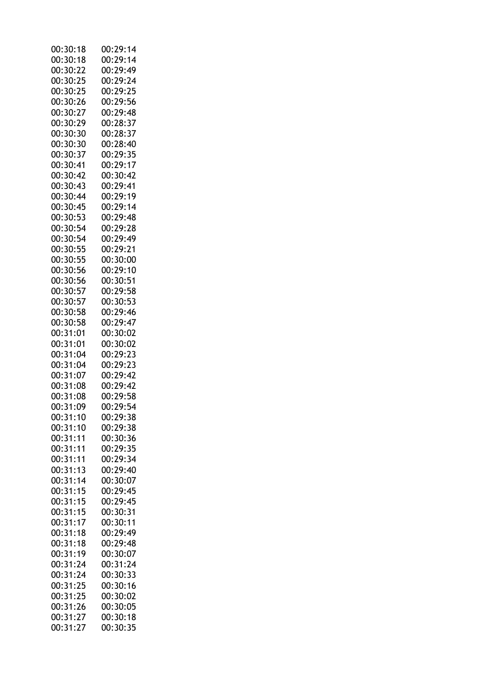| 00:30:18 | 00:29:14 |
|----------|----------|
| 00:30:18 | 00:29:14 |
| 00:30:22 | 00:29:49 |
| 00:30:25 | 00:29:24 |
| 00:30:25 | 00:29:25 |
| 00:30:26 | 00:29:56 |
| 00:30:27 | 00:29:48 |
| 00:30:29 | 00:28:37 |
| 00:30:30 | 00:28:37 |
| 00:30:30 | 00:28:40 |
| 00:30:37 | 00:29:35 |
| 00:30:41 | 00:29:17 |
| 00:30:42 | 00:30:42 |
| 00:30:43 |          |
|          | 00:29:41 |
| 00:30:44 | 00:29:19 |
| 00:30:45 | 00:29:14 |
| 00:30:53 | 00:29:48 |
| 00:30:54 | 00:29:28 |
| 00:30:54 | 00:29:49 |
| 00:30:55 | 00:29:21 |
| 00:30:55 | 00:30:00 |
| 00:30:56 | 00:29:10 |
| 00:30:56 | 00:30:51 |
| 00:30:57 | 00:29:58 |
| 00:30:57 | 00:30:53 |
| 00:30:58 | 00:29:46 |
| 00:30:58 | 00:29:47 |
| 00:31:01 | 00:30:02 |
| 00:31:01 | 00:30:02 |
| 00:31:04 | 00:29:23 |
| 00:31:04 | 00:29:23 |
| 00:31:07 | 00:29:42 |
| 00:31:08 | 00:29:42 |
| 00:31:08 | 00:29:58 |
| 00:31:09 | 00:29:54 |
| 00:31:10 | 00:29:38 |
| 00:31:10 | 00:29:38 |
| 00:31:11 | 00:30:36 |
| 00:31:11 | 00:29:35 |
| 00:31:11 | 00:29:34 |
| 00:31:13 | 00:29:40 |
| 00:31:14 | 00:30:07 |
| 00:31:15 | 00:29:45 |
| 00:31:15 | 00:29:45 |
| 00:31:15 |          |
|          | 00:30:31 |
| 00:31:17 | 00:30:11 |
| 00:31:18 | 00:29:49 |
| 00:31:18 | 00:29:48 |
| 00:31:19 | 00:30:07 |
| 00:31:24 | 00:31:24 |
| 00:31:24 | 00:30:33 |
| 00:31:25 | 00:30:16 |
| 00:31:25 | 00:30:02 |
| 00:31:26 | 00:30:05 |
| 00:31:27 | 00:30:18 |
| 00:31:27 | 00:30:35 |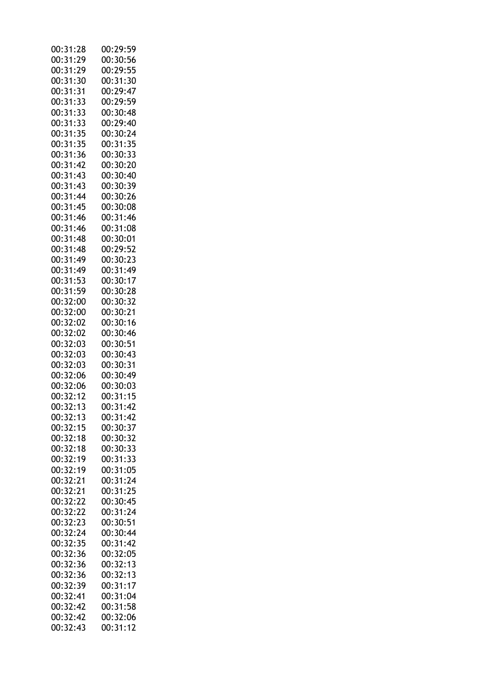| 00:31:28 | 00:29:59 |
|----------|----------|
| 00:31:29 | 00:30:56 |
| 00:31:29 | 00:29:55 |
| 00:31:30 | 00:31:30 |
| 00:31:31 | 00:29:47 |
|          |          |
| 00:31:33 | 00:29:59 |
| 00:31:33 | 00:30:48 |
| 00:31:33 | 00:29:40 |
| 00:31:35 | 00:30:24 |
| 00:31:35 | 00:31:35 |
| 00:31:36 | 00:30:33 |
| 00:31:42 | 00:30:20 |
| 00:31:43 | 00:30:40 |
| 00:31:43 | 00:30:39 |
|          |          |
| 00:31:44 | 00:30:26 |
| 00:31:45 | 00:30:08 |
| 00:31:46 | 00:31:46 |
| 00:31:46 | 00:31:08 |
| 00:31:48 | 00:30:01 |
| 00:31:48 | 00:29:52 |
| 00:31:49 | 00:30:23 |
| 00:31:49 | 00:31:49 |
| 00:31:53 | 00:30:17 |
|          |          |
| 00:31:59 | 00:30:28 |
| 00:32:00 | 00:30:32 |
| 00:32:00 | 00:30:21 |
| 00:32:02 | 00:30:16 |
| 00:32:02 | 00:30:46 |
| 00:32:03 | 00:30:51 |
| 00:32:03 | 00:30:43 |
| 00:32:03 | 00:30:31 |
| 00:32:06 | 00:30:49 |
|          |          |
| 00:32:06 | 00:30:03 |
| 00:32:12 | 00:31:15 |
| 00:32:13 | 00:31:42 |
| 00:32:13 | 00:31:42 |
| 00:32:15 | 00:30:37 |
| 00:32:18 | 00:30:32 |
| 00:32:18 | 00:30:33 |
| 00:32:19 | 00:31:33 |
| 00:32:19 | 00:31:05 |
| 00:32:21 | 00:31:24 |
|          |          |
| 00:32:21 | 00:31:25 |
| 00:32:22 | 00:30:45 |
| 00:32:22 | 00:31:24 |
| 00:32:23 | 00:30:51 |
| 00:32:24 | 00:30:44 |
| 00:32:35 | 00:31:42 |
| 00:32:36 | 00:32:05 |
| 00:32:36 | 00:32:13 |
|          |          |
| 00:32:36 | 00:32:13 |
| 00:32:39 | 00:31:17 |
| 00:32:41 | 00:31:04 |
| 00:32:42 | 00:31:58 |
| 00:32:42 | 00:32:06 |
| 00:32:43 | 00:31:12 |
|          |          |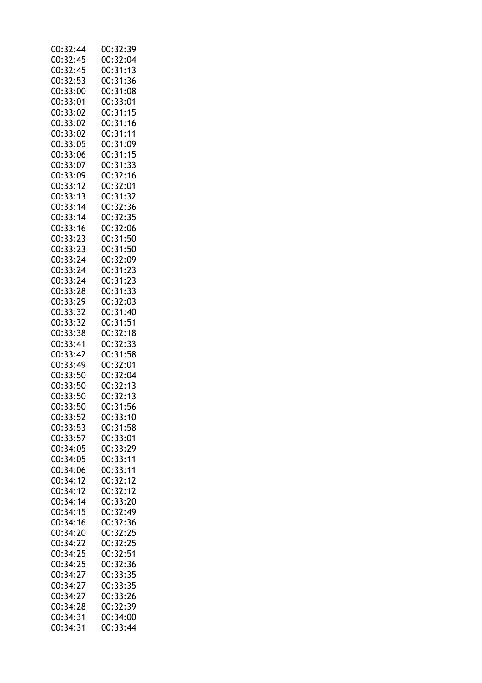| 00:32:44 | 00:32:39 |
|----------|----------|
| 00:32:45 | 00:32:04 |
| 00:32:45 | 00:31:13 |
| 00:32:53 | 00:31:36 |
| 00:33:00 | 00:31:08 |
| 00:33:01 | 00:33:01 |
| 00:33:02 | 00:31:15 |
| 00:33:02 | 00:31:16 |
| 00:33:02 | 00:31:11 |
|          | 00:31:09 |
| 00:33:05 |          |
| 00:33:06 | 00:31:15 |
| 00:33:07 | 00:31:33 |
| 00:33:09 | 00:32:16 |
| 00:33:12 | 00:32:01 |
| 00:33:13 | 00:31:32 |
| 00:33:14 | 00:32:36 |
| 00:33:14 | 00:32:35 |
| 00:33:16 | 00:32:06 |
| 00:33:23 | 00:31:50 |
| 00:33:23 | 00:31:50 |
| 00:33:24 | 00:32:09 |
| 00:33:24 | 00:31:23 |
| 00:33:24 | 00:31:23 |
| 00:33:28 | 00:31:33 |
| 00:33:29 | 00:32:03 |
| 00:33:32 | 00:31:40 |
|          |          |
| 00:33:32 | 00:31:51 |
| 00:33:38 | 00:32:18 |
| 00:33:41 | 00:32:33 |
| 00:33:42 | 00:31:58 |
| 00:33:49 | 00:32:01 |
| 00:33:50 | 00:32:04 |
| 00:33:50 | 00:32:13 |
| 00:33:50 | 00:32:13 |
| 00:33:50 | 00:31:56 |
| 00:33:52 | 00:33:10 |
| 00:33:53 | 00:31:58 |
| 00:33:57 | 00:33:01 |
| 00:34:05 | 00:33:29 |
| 00:34:05 | 00:33:11 |
| 00:34:06 | 00:33:11 |
| 00:34:12 | 00:32:12 |
| 00:34:12 | 00:32:12 |
| 00:34:14 | 00:33:20 |
| 00:34:15 | 00:32:49 |
|          |          |
| 00:34:16 | 00:32:36 |
| 00:34:20 | 00:32:25 |
| 00:34:22 | 00:32:25 |
| 00:34:25 | 00:32:51 |
| 00:34:25 | 00:32:36 |
| 00:34:27 | 00:33:35 |
| 00:34:27 | 00:33:35 |
| 00:34:27 | 00:33:26 |
| 00:34:28 | 00:32:39 |
| 00:34:31 | 00:34:00 |
| 00:34:31 | 00:33:44 |
|          |          |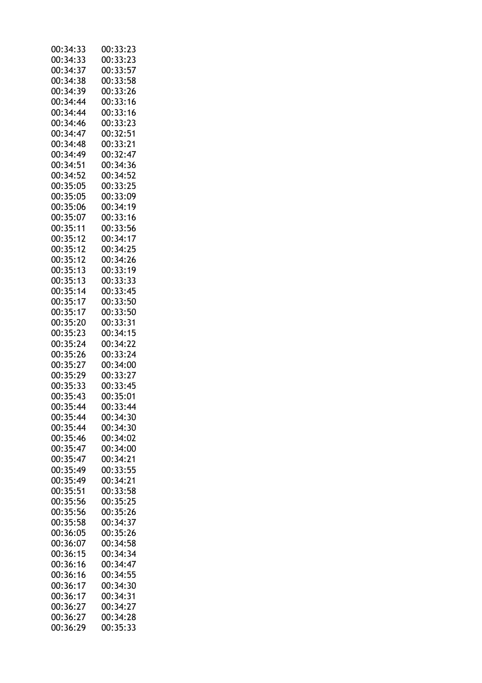| 00:34:33 | 00:33:23 |
|----------|----------|
| 00:34:33 | 00:33:23 |
| 00:34:37 | 00:33:57 |
| 00:34:38 | 00:33:58 |
| 00:34:39 | 00:33:26 |
| 00:34:44 | 00:33:16 |
| 00:34:44 | 00:33:16 |
| 00:34:46 | 00:33:23 |
| 00:34:47 | 00:32:51 |
| 00:34:48 | 00:33:21 |
|          | 00:32:47 |
| 00:34:49 |          |
| 00:34:51 | 00:34:36 |
| 00:34:52 | 00:34:52 |
| 00:35:05 | 00:33:25 |
| 00:35:05 | 00:33:09 |
| 00:35:06 | 00:34:19 |
| 00:35:07 | 00:33:16 |
| 00:35:11 | 00:33:56 |
| 00:35:12 | 00:34:17 |
| 00:35:12 | 00:34:25 |
| 00:35:12 | 00:34:26 |
| 00:35:13 | 00:33:19 |
| 00:35:13 | 00:33:33 |
| 00:35:14 | 00:33:45 |
| 00:35:17 | 00:33:50 |
| 00:35:17 | 00:33:50 |
| 00:35:20 | 00:33:31 |
| 00:35:23 | 00:34:15 |
| 00:35:24 | 00:34:22 |
| 00:35:26 | 00:33:24 |
| 00:35:27 | 00:34:00 |
| 00:35:29 | 00:33:27 |
|          |          |
| 00:35:33 | 00:33:45 |
| 00:35:43 | 00:35:01 |
| 00:35:44 | 00:33:44 |
| 00:35:44 | 00:34:30 |
| 00:35:44 | 00:34:30 |
| 00:35:46 | 00:34:02 |
| 00:35:47 | 00:34:00 |
| 00:35:47 | 00:34:21 |
| 00:35:49 | 00:33:55 |
| 00:35:49 | 00:34:21 |
| 00:35:51 | 00:33:58 |
| 00:35:56 | 00:35:25 |
| 00:35:56 | 00:35:26 |
| 00:35:58 | 00:34:37 |
| 00:36:05 | 00:35:26 |
| 00:36:07 | 00:34:58 |
| 00:36:15 | 00:34:34 |
| 00:36:16 | 00:34:47 |
| 00:36:16 | 00:34:55 |
| 00:36:17 | 00:34:30 |
| 00:36:17 | 00:34:31 |
|          |          |
| 00:36:27 | 00:34:27 |
| 00:36:27 | 00:34:28 |
| 00:36:29 | 00:35:33 |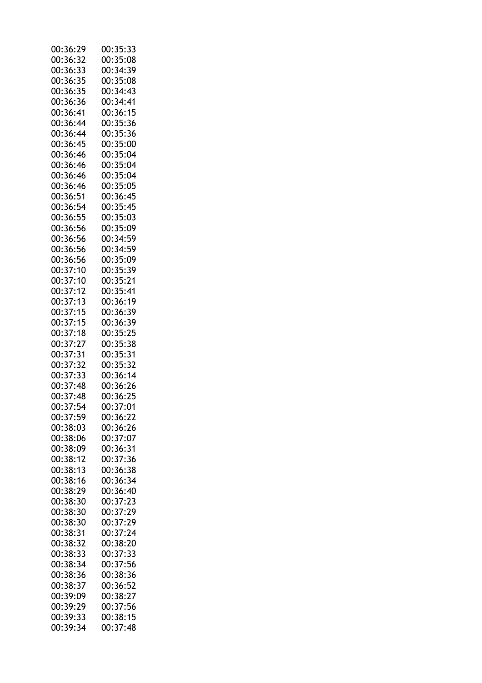| 00:36:29 | 00:35:33 |
|----------|----------|
| 00:36:32 | 00:35:08 |
| 00:36:33 | 00:34:39 |
| 00:36:35 | 00:35:08 |
| 00:36:35 | 00:34:43 |
| 00:36:36 | 00:34:41 |
| 00:36:41 | 00:36:15 |
| 00:36:44 | 00:35:36 |
| 00:36:44 | 00:35:36 |
| 00:36:45 | 00:35:00 |
| 00:36:46 | 00:35:04 |
| 00:36:46 | 00:35:04 |
| 00:36:46 | 00:35:04 |
| 00:36:46 | 00:35:05 |
|          |          |
| 00:36:51 | 00:36:45 |
| 00:36:54 | 00:35:45 |
| 00:36:55 | 00:35:03 |
| 00:36:56 | 00:35:09 |
| 00:36:56 | 00:34:59 |
| 00:36:56 | 00:34:59 |
| 00:36:56 | 00:35:09 |
| 00:37:10 | 00:35:39 |
| 00:37:10 | 00:35:21 |
| 00:37:12 | 00:35:41 |
| 00:37:13 | 00:36:19 |
| 00:37:15 | 00:36:39 |
| 00:37:15 | 00:36:39 |
| 00:37:18 | 00:35:25 |
| 00:37:27 | 00:35:38 |
| 00:37:31 | 00:35:31 |
| 00:37:32 | 00:35:32 |
| 00:37:33 | 00:36:14 |
| 00:37:48 | 00:36:26 |
| 00:37:48 | 00:36:25 |
| 00:37:54 | 00:37:01 |
| 00:37:59 | 00:36:22 |
| 00:38:03 | 00:36:26 |
| 00:38:06 | 00:37:07 |
| 00:38:09 | 00:36:31 |
| 00:38:12 | 00:37:36 |
| 00:38:13 | 00:36:38 |
| 00:38:16 | 00:36:34 |
| 00:38:29 | 00:36:40 |
| 00:38:30 | 00:37:23 |
| 00:38:30 | 00:37:29 |
|          |          |
| 00:38:30 | 00:37:29 |
| 00:38:31 | 00:37:24 |
| 00:38:32 | 00:38:20 |
| 00:38:33 | 00:37:33 |
| 00:38:34 | 00:37:56 |
| 00:38:36 | 00:38:36 |
| 00:38:37 | 00:36:52 |
| 00:39:09 | 00:38:27 |
| 00:39:29 | 00:37:56 |
| 00:39:33 | 00:38:15 |
| 00:39:34 | 00:37:48 |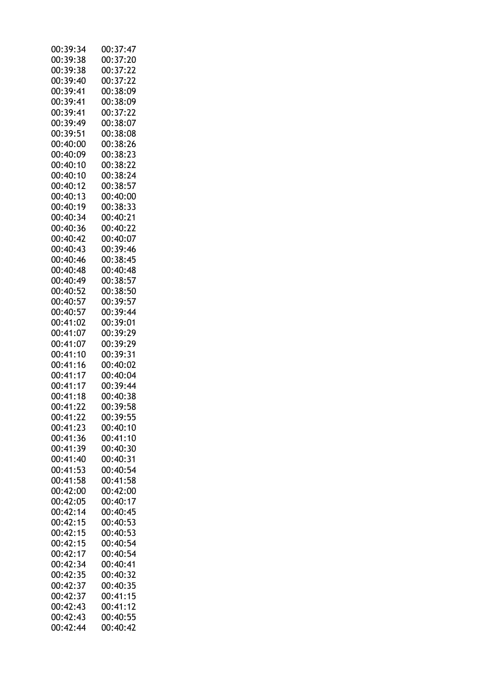| 00:39:34 | 00:37:47 |
|----------|----------|
| 00:39:38 | 00:37:20 |
| 00:39:38 | 00:37:22 |
| 00:39:40 | 00:37:22 |
| 00:39:41 | 00:38:09 |
| 00:39:41 | 00:38:09 |
| 00:39:41 | 00:37:22 |
| 00:39:49 | 00:38:07 |
| 00:39:51 | 00:38:08 |
| 00:40:00 |          |
|          | 00:38:26 |
| 00:40:09 | 00:38:23 |
| 00:40:10 | 00:38:22 |
| 00:40:10 | 00:38:24 |
| 00:40:12 | 00:38:57 |
| 00:40:13 | 00:40:00 |
| 00:40:19 | 00:38:33 |
| 00:40:34 | 00:40:21 |
| 00:40:36 | 00:40:22 |
| 00:40:42 | 00:40:07 |
| 00:40:43 | 00:39:46 |
| 00:40:46 | 00:38:45 |
| 00:40:48 | 00:40:48 |
| 00:40:49 | 00:38:57 |
|          |          |
| 00:40:52 | 00:38:50 |
| 00:40:57 | 00:39:57 |
| 00:40:57 | 00:39:44 |
| 00:41:02 | 00:39:01 |
| 00:41:07 | 00:39:29 |
| 00:41:07 | 00:39:29 |
| 00:41:10 | 00:39:31 |
| 00:41:16 | 00:40:02 |
| 00:41:17 | 00:40:04 |
| 00:41:17 | 00:39:44 |
| 00:41:18 | 00:40:38 |
| 00:41:22 | 00:39:58 |
| 00:41:22 | 00:39:55 |
| 00:41:23 | 00:40:10 |
| 00:41:36 | 00:41:10 |
| 00:41:39 | 00:40:30 |
|          |          |
| 00:41:40 | 00:40:31 |
| 00:41:53 | 00:40:54 |
| 00:41:58 | 00:41:58 |
| 00:42:00 | 00:42:00 |
| 00:42:05 | 00:40:17 |
| 00:42:14 | 00:40:45 |
| 00:42:15 | 00:40:53 |
| 00:42:15 | 00:40:53 |
| 00:42:15 | 00:40:54 |
| 00:42:17 | 00:40:54 |
| 00:42:34 | 00:40:41 |
| 00:42:35 | 00:40:32 |
| 00:42:37 | 00:40:35 |
|          |          |
| 00:42:37 | 00:41:15 |
| 00:42:43 | 00:41:12 |
| 00:42:43 | 00:40:55 |
| 00:42:44 | 00:40:42 |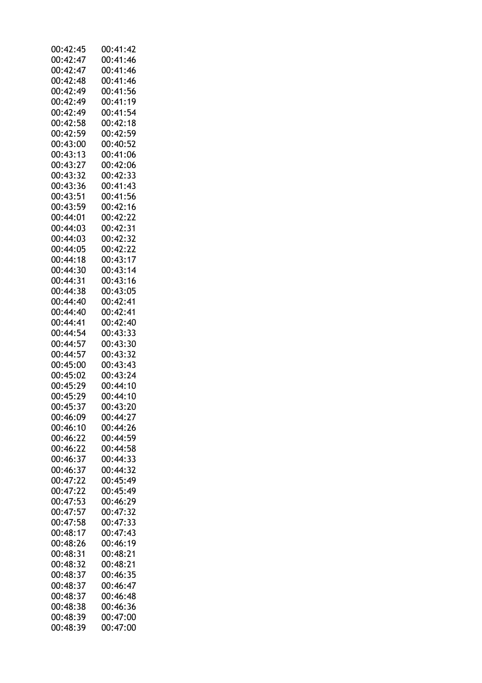| 00:42:45 | 00:41:42 |
|----------|----------|
| 00:42:47 | 00:41:46 |
| 00:42:47 | 00:41:46 |
| 00:42:48 | 00:41:46 |
| 00:42:49 | 00:41:56 |
| 00:42:49 | 00:41:19 |
|          |          |
| 00:42:49 | 00:41:54 |
| 00:42:58 | 00:42:18 |
| 00:42:59 | 00:42:59 |
| 00:43:00 | 00:40:52 |
| 00:43:13 | 00:41:06 |
| 00:43:27 | 00:42:06 |
| 00:43:32 | 00:42:33 |
| 00:43:36 | 00:41:43 |
| 00:43:51 | 00:41:56 |
| 00:43:59 | 00:42:16 |
|          |          |
| 00:44:01 | 00:42:22 |
| 00:44:03 | 00:42:31 |
| 00:44:03 | 00:42:32 |
| 00:44:05 | 00:42:22 |
| 00:44:18 | 00:43:17 |
| 00:44:30 | 00:43:14 |
| 00:44:31 | 00:43:16 |
| 00:44:38 | 00:43:05 |
| 00:44:40 | 00:42:41 |
| 00:44:40 | 00:42:41 |
|          |          |
| 00:44:41 | 00:42:40 |
| 00:44:54 | 00:43:33 |
| 00:44:57 | 00:43:30 |
| 00:44:57 | 00:43:32 |
| 00:45:00 | 00:43:43 |
| 00:45:02 | 00:43:24 |
| 00:45:29 | 00:44:10 |
| 00:45:29 | 00:44:10 |
| 00:45:37 | 00:43:20 |
| 00:46:09 | 00:44:27 |
| 00:46:10 | 00:44:26 |
| 00:46:22 | 00:44:59 |
|          |          |
| 00:46:22 | 00:44:58 |
| 00:46:37 | 00:44:33 |
| 00:46:37 | 00:44:32 |
| 00:47:22 | 00:45:49 |
| 00:47:22 | 00:45:49 |
| 00:47:53 | 00:46:29 |
| 00:47:57 | 00:47:32 |
| 00:47:58 | 00:47:33 |
| 00:48:17 | 00:47:43 |
| 00:48:26 | 00:46:19 |
|          |          |
| 00:48:31 | 00:48:21 |
| 00:48:32 | 00:48:21 |
| 00:48:37 | 00:46:35 |
| 00:48:37 | 00:46:47 |
| 00:48:37 | 00:46:48 |
| 00:48:38 | 00:46:36 |
| 00:48:39 | 00:47:00 |
| 00:48:39 | 00:47:00 |
|          |          |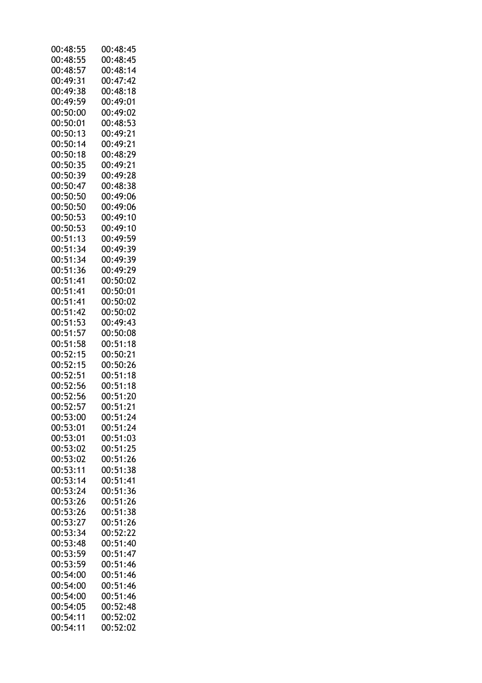| 00:48:55 | 00:48:45 |
|----------|----------|
| 00:48:55 | 00:48:45 |
| 00:48:57 | 00:48:14 |
| 00:49:31 | 00:47:42 |
| 00:49:38 | 00:48:18 |
| 00:49:59 | 00:49:01 |
|          |          |
| 00:50:00 | 00:49:02 |
| 00:50:01 | 00:48:53 |
| 00:50:13 | 00:49:21 |
| 00:50:14 | 00:49:21 |
| 00:50:18 | 00:48:29 |
| 00:50:35 | 00:49:21 |
| 00:50:39 | 00:49:28 |
| 00:50:47 | 00:48:38 |
| 00:50:50 | 00:49:06 |
| 00:50:50 | 00:49:06 |
|          |          |
| 00:50:53 | 00:49:10 |
| 00:50:53 | 00:49:10 |
| 00:51:13 | 00:49:59 |
| 00:51:34 | 00:49:39 |
| 00:51:34 | 00:49:39 |
| 00:51:36 | 00:49:29 |
| 00:51:41 | 00:50:02 |
| 00:51:41 | 00:50:01 |
| 00:51:41 | 00:50:02 |
| 00:51:42 | 00:50:02 |
| 00:51:53 | 00:49:43 |
|          |          |
| 00:51:57 | 00:50:08 |
| 00:51:58 | 00:51:18 |
| 00:52:15 | 00:50:21 |
| 00:52:15 | 00:50:26 |
| 00:52:51 | 00:51:18 |
| 00:52:56 | 00:51:18 |
| 00:52:56 | 00:51:20 |
| 00:52:57 | 00:51:21 |
| 00:53:00 | 00:51:24 |
| 00:53:01 | 00:51:24 |
| 00:53:01 | 00:51:03 |
| 00:53:02 | 00:51:25 |
|          |          |
| 00:53:02 | 00:51:26 |
| 00:53:11 | 00:51:38 |
| 00:53:14 | 00:51:41 |
| 00:53:24 | 00:51:36 |
| 00:53:26 | 00:51:26 |
| 00:53:26 | 00:51:38 |
| 00:53:27 | 00:51:26 |
| 00:53:34 | 00:52:22 |
| 00:53:48 | 00:51:40 |
| 00:53:59 | 00:51:47 |
| 00:53:59 | 00:51:46 |
| 00:54:00 | 00:51:46 |
|          |          |
| 00:54:00 | 00:51:46 |
| 00:54:00 | 00:51:46 |
| 00:54:05 | 00:52:48 |
| 00:54:11 | 00:52:02 |
| 00:54:11 | 00:52:02 |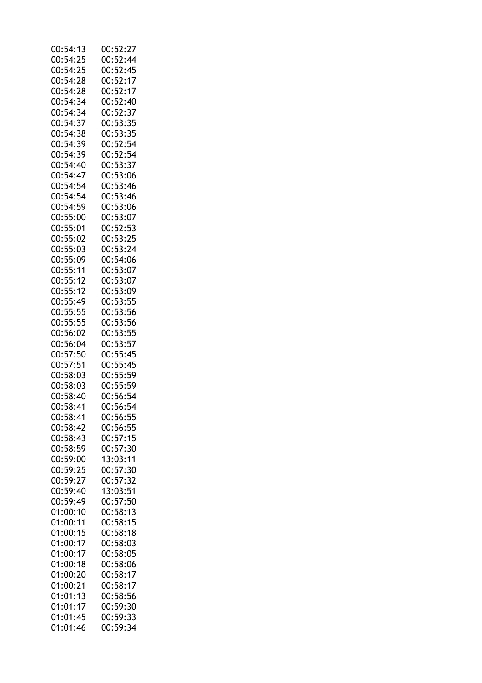| 00:54:13 | 00:52:27 |
|----------|----------|
| 00:54:25 | 00:52:44 |
| 00:54:25 | 00:52:45 |
| 00:54:28 | 00:52:17 |
| 00:54:28 | 00:52:17 |
| 00:54:34 | 00:52:40 |
| 00:54:34 |          |
|          | 00:52:37 |
| 00:54:37 | 00:53:35 |
| 00:54:38 | 00:53:35 |
| 00:54:39 | 00:52:54 |
| 00:54:39 | 00:52:54 |
| 00:54:40 | 00:53:37 |
| 00:54:47 | 00:53:06 |
| 00:54:54 | 00:53:46 |
| 00:54:54 | 00:53:46 |
| 00:54:59 | 00:53:06 |
| 00:55:00 | 00:53:07 |
| 00:55:01 |          |
|          | 00:52:53 |
| 00:55:02 | 00:53:25 |
| 00:55:03 | 00:53:24 |
| 00:55:09 | 00:54:06 |
| 00:55:11 | 00:53:07 |
| 00:55:12 | 00:53:07 |
| 00:55:12 | 00:53:09 |
| 00:55:49 | 00:53:55 |
| 00:55:55 | 00:53:56 |
| 00:55:55 | 00:53:56 |
| 00:56:02 | 00:53:55 |
| 00:56:04 | 00:53:57 |
| 00:57:50 | 00:55:45 |
|          | 00:55:45 |
| 00:57:51 |          |
| 00:58:03 | 00:55:59 |
| 00:58:03 | 00:55:59 |
| 00:58:40 | 00:56:54 |
| 00:58:41 | 00:56:54 |
| 00:58:41 | 00:56:55 |
| 00:58:42 | 00:56:55 |
| 00:58:43 | 00:57:15 |
| 00:58:59 | 00:57:30 |
| 00:59:00 | 13:03:11 |
| 00:59:25 | 00:57:30 |
| 00:59:27 | 00:57:32 |
| 00:59:40 | 13:03:51 |
| 00:59:49 | 00:57:50 |
| 01:00:10 | 00:58:13 |
| 01:00:11 | 00:58:15 |
| 01:00:15 | 00:58:18 |
| 01:00:17 | 00:58:03 |
| 01:00:17 | 00:58:05 |
|          |          |
| 01:00:18 | 00:58:06 |
| 01:00:20 | 00:58:17 |
| 01:00:21 | 00:58:17 |
| 01:01:13 | 00:58:56 |
| 01:01:17 | 00:59:30 |
| 01:01:45 | 00:59:33 |
| 01:01:46 | 00:59:34 |